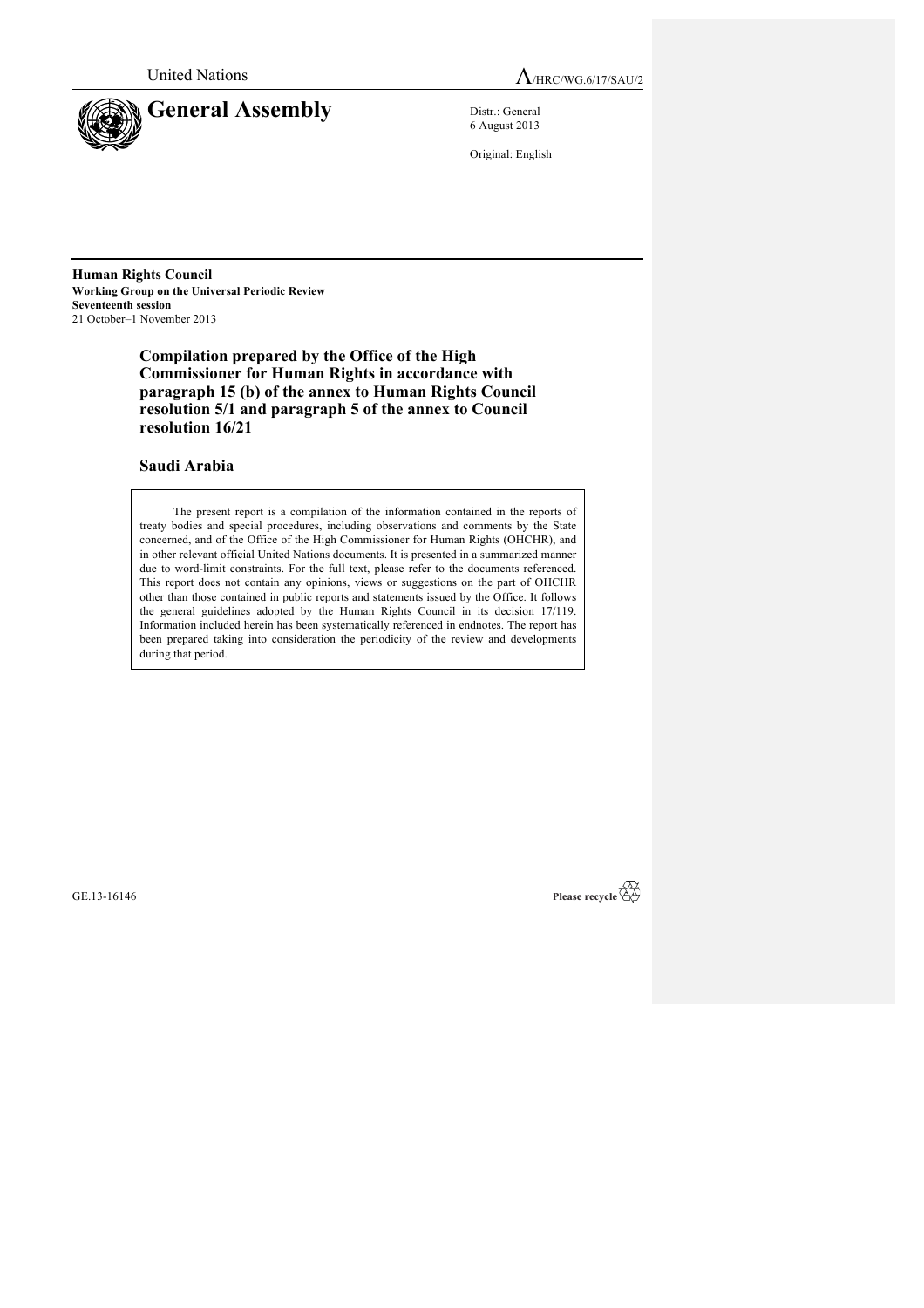

United Nations  $A_{HRC/WG.6/17/SAU/2}$ 

6 August 2013

Original: English

**Human Rights Council Working Group on the Universal Periodic Review Seventeenth session** 21 October–1 November 2013

> **Compilation prepared by the Office of the High Commissioner for Human Rights in accordance with paragraph 15 (b) of the annex to Human Rights Council resolution 5/1 and paragraph 5 of the annex to Council resolution 16/21**

## **Saudi Arabia**

The present report is a compilation of the information contained in the reports of treaty bodies and special procedures, including observations and comments by the State concerned, and of the Office of the High Commissioner for Human Rights (OHCHR), and in other relevant official United Nations documents. It is presented in a summarized manner due to word-limit constraints. For the full text, please refer to the documents referenced. This report does not contain any opinions, views or suggestions on the part of OHCHR other than those contained in public reports and statements issued by the Office. It follows the general guidelines adopted by the Human Rights Council in its decision 17/119. Information included herein has been systematically referenced in endnotes. The report has been prepared taking into consideration the periodicity of the review and developments during that period.

GE.13-16146

Please recycle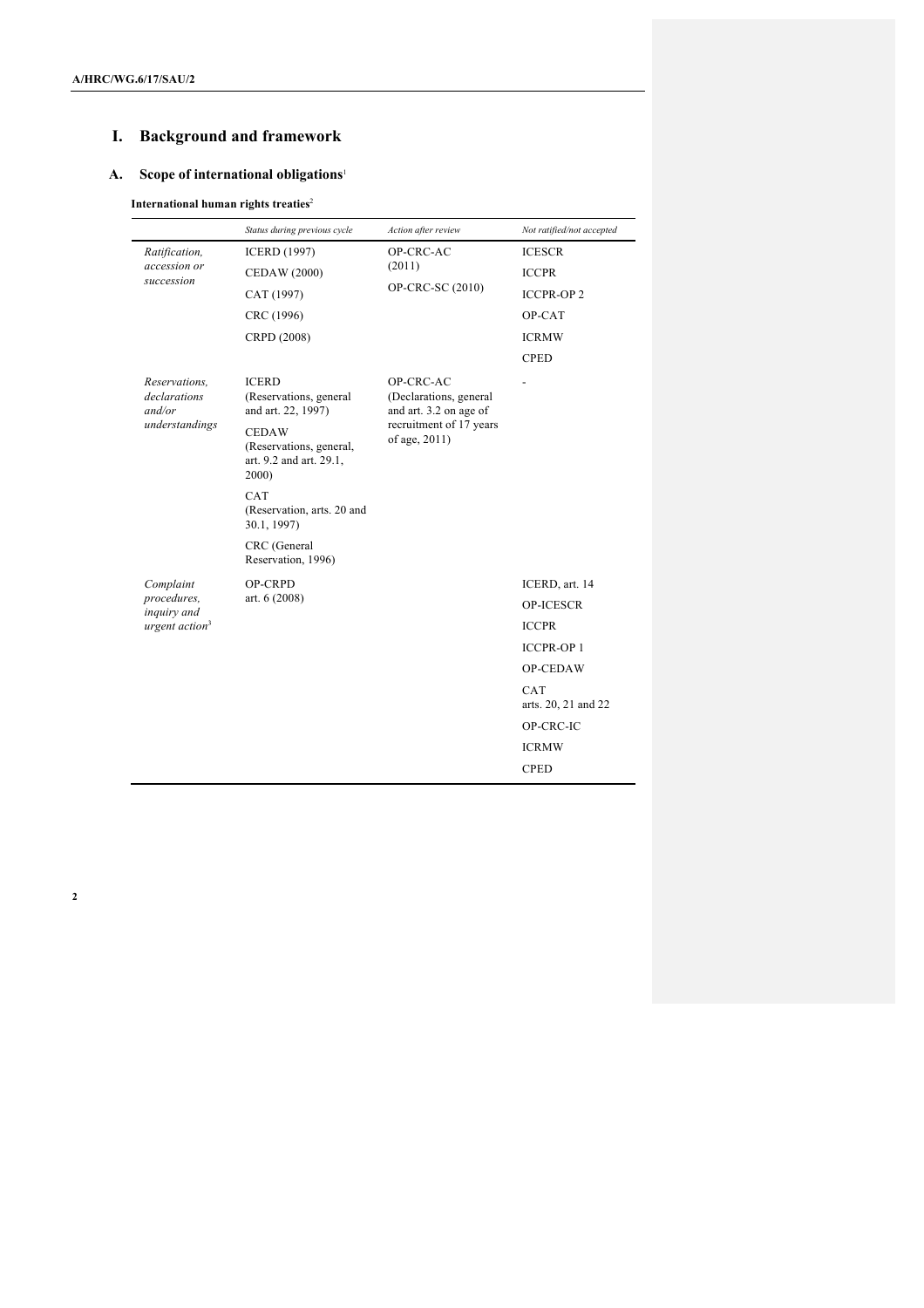# **I. Background and framework**

## **A. Scope of international obligations**<sup>1</sup>

## **International human rights treaties**<sup>2</sup>

|                                                           | Status during previous cycle                                                | Action after review                                                                                       | Not ratified/not accepted  |
|-----------------------------------------------------------|-----------------------------------------------------------------------------|-----------------------------------------------------------------------------------------------------------|----------------------------|
| Ratification,<br>accession or<br>succession               | <b>ICERD (1997)</b>                                                         | OP-CRC-AC                                                                                                 | <b>ICESCR</b>              |
|                                                           | <b>CEDAW (2000)</b>                                                         | (2011)                                                                                                    | <b>ICCPR</b>               |
|                                                           | CAT (1997)                                                                  | OP-CRC-SC (2010)                                                                                          | <b>ICCPR-OP2</b>           |
|                                                           | CRC (1996)                                                                  |                                                                                                           | OP-CAT                     |
|                                                           | CRPD (2008)                                                                 |                                                                                                           | <b>ICRMW</b>               |
|                                                           |                                                                             |                                                                                                           | <b>CPED</b>                |
| Reservations,<br>declarations<br>and/or<br>understandings | <b>ICERD</b><br>(Reservations, general<br>and art. 22, 1997)                | OP-CRC-AC<br>(Declarations, general<br>and art. 3.2 on age of<br>recruitment of 17 years<br>of age, 2011) |                            |
|                                                           | <b>CEDAW</b><br>(Reservations, general,<br>art. 9.2 and art. 29.1,<br>2000) |                                                                                                           |                            |
|                                                           | CAT<br>(Reservation, arts. 20 and<br>30.1, 1997)                            |                                                                                                           |                            |
|                                                           | CRC (General<br>Reservation, 1996)                                          |                                                                                                           |                            |
| Complaint                                                 | OP-CRPD                                                                     |                                                                                                           | ICERD, art. 14             |
| procedures,<br>inquiry and                                | art. $6(2008)$                                                              |                                                                                                           | <b>OP-ICESCR</b>           |
| urgent $action3$                                          |                                                                             |                                                                                                           | <b>ICCPR</b>               |
|                                                           |                                                                             |                                                                                                           | <b>ICCPR-OP1</b>           |
|                                                           |                                                                             |                                                                                                           | OP-CEDAW                   |
|                                                           |                                                                             |                                                                                                           | CAT<br>arts. 20, 21 and 22 |
|                                                           |                                                                             |                                                                                                           | OP-CRC-IC                  |
|                                                           |                                                                             |                                                                                                           | <b>ICRMW</b>               |
|                                                           |                                                                             |                                                                                                           | <b>CPED</b>                |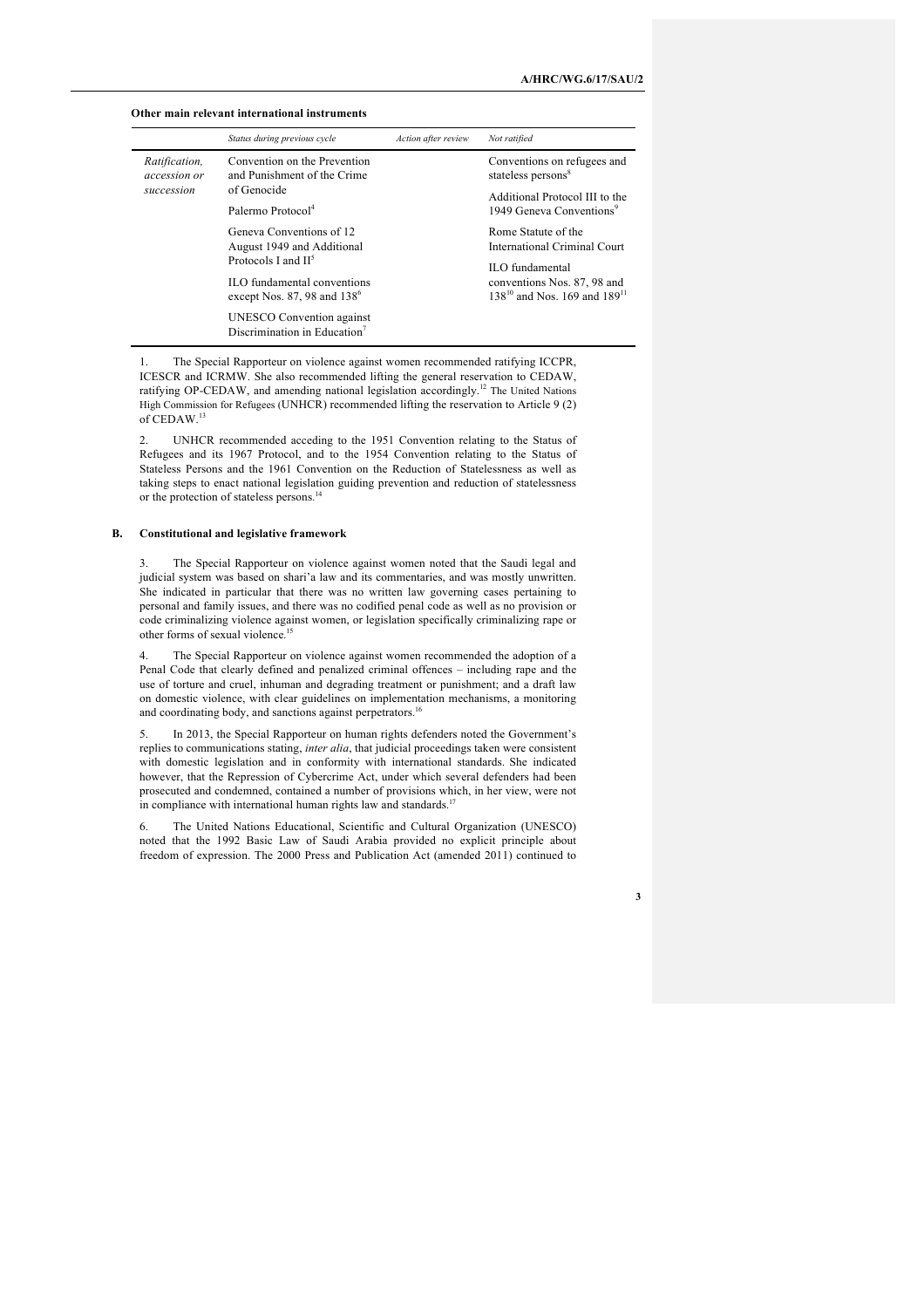#### **Other main relevant international instruments**

|                                             | Status during previous cycle                                                     | Action after review | Not ratified                                                                        |
|---------------------------------------------|----------------------------------------------------------------------------------|---------------------|-------------------------------------------------------------------------------------|
| Ratification,<br>accession or<br>succession | Convention on the Prevention<br>and Punishment of the Crime                      |                     | Conventions on refugees and<br>stateless persons <sup>8</sup>                       |
|                                             | of Genocide<br>Palermo Protocol <sup>4</sup>                                     |                     | Additional Protocol III to the<br>1949 Geneva Conventions <sup>9</sup>              |
|                                             | Geneva Conventions of 12<br>August 1949 and Additional<br>Protocols I and $II^5$ |                     | Rome Statute of the<br>International Criminal Court<br><b>ILO</b> fundamental       |
|                                             | ILO fundamental conventions<br>except Nos. 87, 98 and $138^{\circ}$              |                     | conventions Nos. 87, 98 and<br>138 <sup>10</sup> and Nos. 169 and 189 <sup>11</sup> |
|                                             | UNESCO Convention against<br>Discrimination in Education <sup>7</sup>            |                     |                                                                                     |

1. The Special Rapporteur on violence against women recommended ratifying ICCPR, ICESCR and ICRMW. She also recommended lifting the general reservation to CEDAW, ratifying OP-CEDAW, and amending national legislation accordingly.<sup>12</sup> The United Nations High Commission for Refugees (UNHCR) recommended lifting the reservation to Article 9 (2) of CEDAW.<sup>13</sup>

2. UNHCR recommended acceding to the 1951 Convention relating to the Status of Refugees and its 1967 Protocol, and to the 1954 Convention relating to the Status of Stateless Persons and the 1961 Convention on the Reduction of Statelessness as well as taking steps to enact national legislation guiding prevention and reduction of statelessness or the protection of stateless persons.<sup>14</sup>

### **B. Constitutional and legislative framework**

3. The Special Rapporteur on violence against women noted that the Saudi legal and judicial system was based on shari'a law and its commentaries, and was mostly unwritten. She indicated in particular that there was no written law governing cases pertaining to personal and family issues, and there was no codified penal code as well as no provision or code criminalizing violence against women, or legislation specifically criminalizing rape or other forms of sexual violence. 15

4. The Special Rapporteur on violence against women recommended the adoption of a Penal Code that clearly defined and penalized criminal offences – including rape and the use of torture and cruel, inhuman and degrading treatment or punishment; and a draft law on domestic violence, with clear guidelines on implementation mechanisms, a monitoring and coordinating body, and sanctions against perpetrators.<sup>16</sup>

5. In 2013, the Special Rapporteur on human rights defenders noted the Government's replies to communications stating, *inter alia*, that judicial proceedings taken were consistent with domestic legislation and in conformity with international standards. She indicated however, that the Repression of Cybercrime Act, under which several defenders had been prosecuted and condemned, contained a number of provisions which, in her view, were not in compliance with international human rights law and standards.<sup>17</sup>

6. The United Nations Educational, Scientific and Cultural Organization (UNESCO) noted that the 1992 Basic Law of Saudi Arabia provided no explicit principle about freedom of expression. The 2000 Press and Publication Act (amended 2011) continued to

**A/HRC/WG.6/17/SAU/2**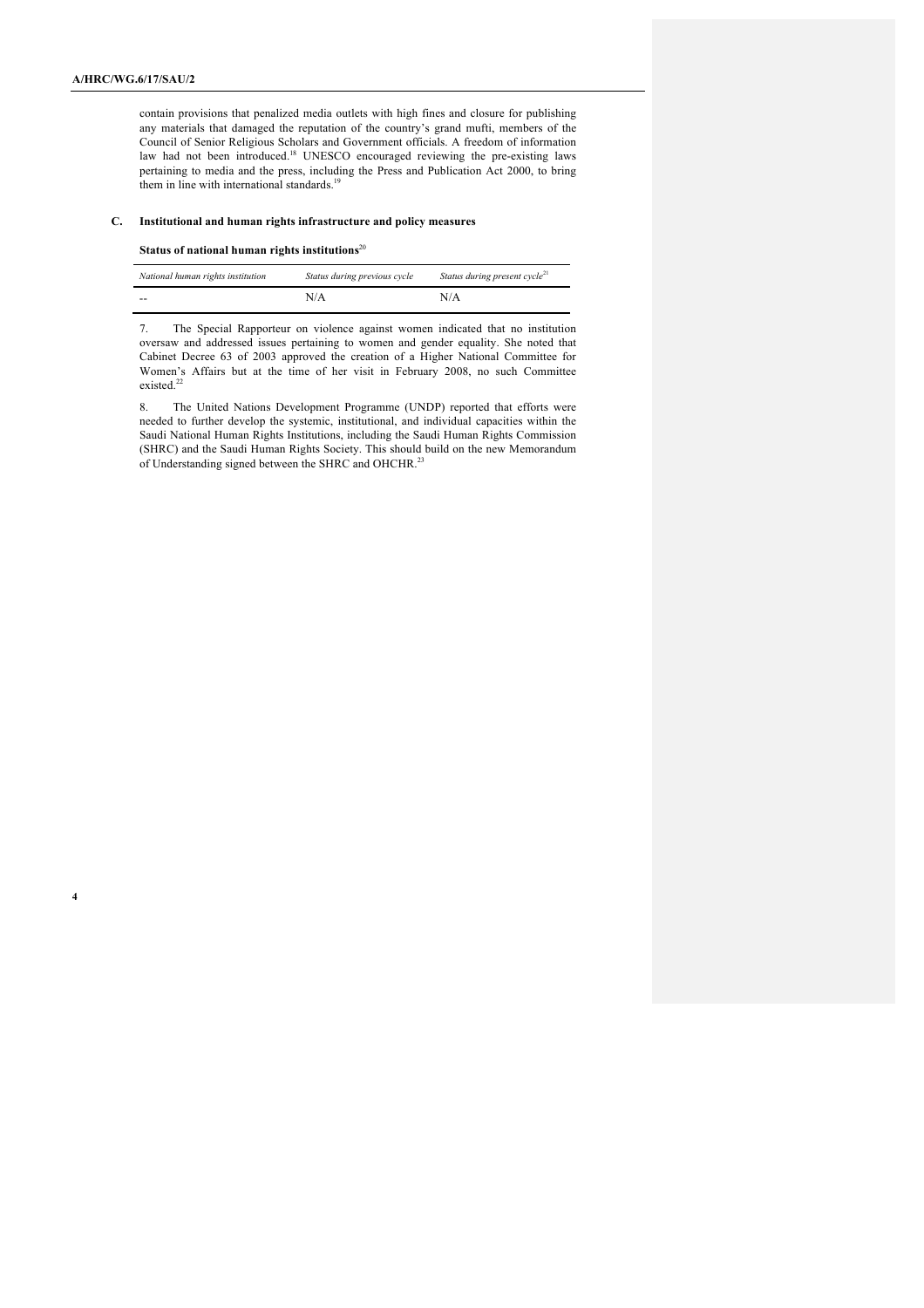contain provisions that penalized media outlets with high fines and closure for publishing any materials that damaged the reputation of the country's grand mufti, members of the Council of Senior Religious Scholars and Government officials. A freedom of information law had not been introduced.<sup>18</sup> UNESCO encouraged reviewing the pre-existing laws pertaining to media and the press, including the Press and Publication Act 2000, to bring them in line with international standards.<sup>19</sup>

#### **C. Institutional and human rights infrastructure and policy measures**

### **Status of national human rights institutions**<sup>20</sup>

| National human rights institution | Status during previous cycle | Status during present cycle <sup>21</sup> |
|-----------------------------------|------------------------------|-------------------------------------------|
| $- -$                             | N/A                          | N/A                                       |

7. The Special Rapporteur on violence against women indicated that no institution oversaw and addressed issues pertaining to women and gender equality. She noted that Cabinet Decree 63 of 2003 approved the creation of a Higher National Committee for Women's Affairs but at the time of her visit in February 2008, no such Committee existed.<sup>22</sup>

8. The United Nations Development Programme (UNDP) reported that efforts were needed to further develop the systemic, institutional, and individual capacities within the Saudi National Human Rights Institutions, including the Saudi Human Rights Commission (SHRC) and the Saudi Human Rights Society. This should build on the new Memorandum of Understanding signed between the SHRC and OHCHR.<sup>23</sup>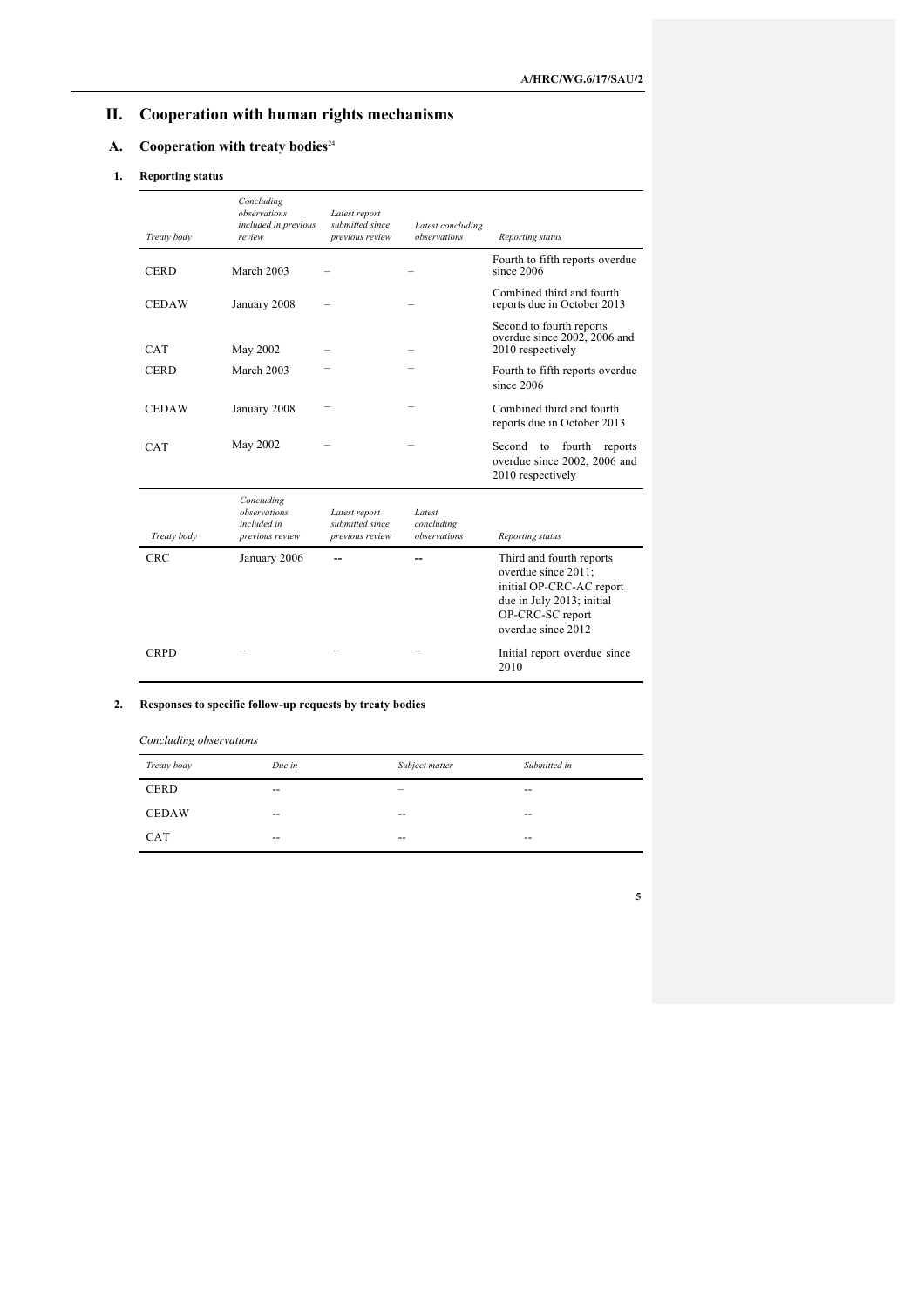# **II. Cooperation with human rights mechanisms**

## **A. Cooperation with treaty bodies**<sup>24</sup>

## **1. Reporting status**

| Treaty body  | Concluding<br>observations<br>included in previous<br>review | Latest report<br>submitted since<br>previous review | Latest concluding<br>observations    | Reporting status                                                                                                                                   |
|--------------|--------------------------------------------------------------|-----------------------------------------------------|--------------------------------------|----------------------------------------------------------------------------------------------------------------------------------------------------|
| <b>CERD</b>  | March 2003                                                   |                                                     |                                      | Fourth to fifth reports overdue<br>since 2006                                                                                                      |
| <b>CEDAW</b> | January 2008                                                 |                                                     |                                      | Combined third and fourth<br>reports due in October 2013                                                                                           |
| <b>CAT</b>   | May 2002                                                     |                                                     |                                      | Second to fourth reports<br>overdue since 2002, 2006 and<br>2010 respectively                                                                      |
| <b>CERD</b>  | March 2003                                                   |                                                     |                                      | Fourth to fifth reports overdue<br>since 2006                                                                                                      |
| <b>CEDAW</b> | January 2008                                                 |                                                     |                                      | Combined third and fourth<br>reports due in October 2013                                                                                           |
| <b>CAT</b>   | May 2002                                                     |                                                     |                                      | Second<br>fourth<br>to<br>reports<br>overdue since 2002, 2006 and<br>2010 respectively                                                             |
| Treaty body  | Concluding<br>observations<br>included in<br>previous review | Latest report<br>submitted since<br>previous review | Latest<br>concluding<br>observations | Reporting status                                                                                                                                   |
| <b>CRC</b>   | January 2006                                                 |                                                     |                                      | Third and fourth reports<br>overdue since 2011:<br>initial OP-CRC-AC report<br>due in July 2013; initial<br>OP-CRC-SC report<br>overdue since 2012 |
| <b>CRPD</b>  |                                                              |                                                     |                                      | Initial report overdue since<br>2010                                                                                                               |

## **2. Responses to specific follow-up requests by treaty bodies**

| Concluding observations |        |                          |              |
|-------------------------|--------|--------------------------|--------------|
| Treaty body             | Due in | Subject matter           | Submitted in |
| <b>CERD</b>             | $- -$  | $\overline{\phantom{a}}$ | $- -$        |
| <b>CEDAW</b>            | $- -$  | $- -$                    | $- -$        |
| <b>CAT</b>              | $- -$  | $- -$                    | --           |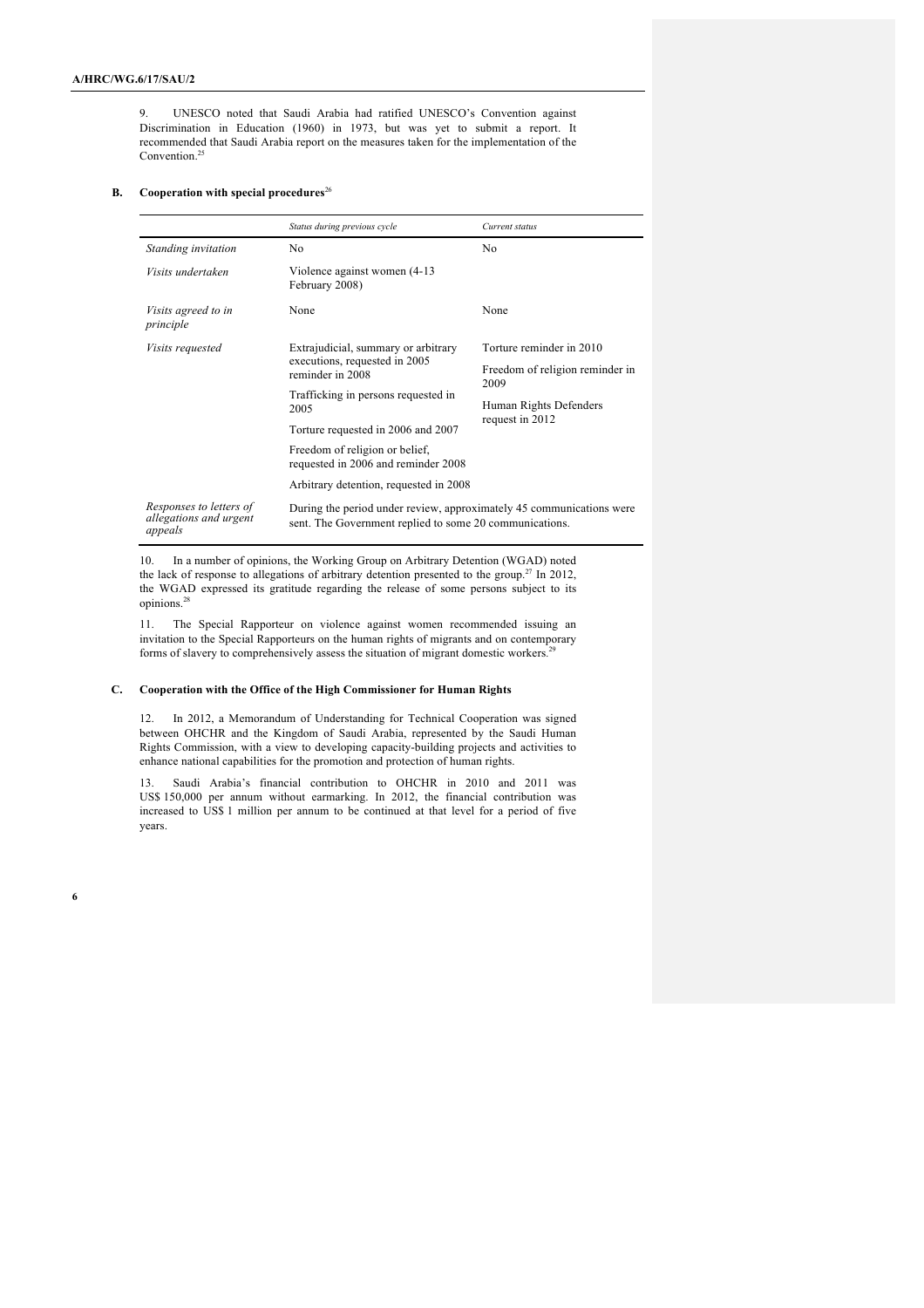9. UNESCO noted that Saudi Arabia had ratified UNESCO's Convention against Discrimination in Education (1960) in 1973, but was yet to submit a report. It recommended that Saudi Arabia report on the measures taken for the implementation of the Convention. 25

#### **B.** Cooperation with special procedures<sup>26</sup>

|                                                              | Status during previous cycle                                                                                                    | Current status                          |  |
|--------------------------------------------------------------|---------------------------------------------------------------------------------------------------------------------------------|-----------------------------------------|--|
| Standing invitation                                          | N <sub>0</sub>                                                                                                                  | No.                                     |  |
| Visits undertaken                                            | Violence against women (4-13)<br>February 2008)                                                                                 |                                         |  |
| Visits agreed to in<br>principle                             | None                                                                                                                            | None                                    |  |
| <i>Visits requested</i>                                      | Extrajudicial, summary or arbitrary<br>executions, requested in 2005<br>reminder in 2008                                        | Torture reminder in 2010                |  |
|                                                              |                                                                                                                                 | Freedom of religion reminder in<br>2009 |  |
|                                                              | Trafficking in persons requested in<br>2005                                                                                     | Human Rights Defenders                  |  |
|                                                              | Torture requested in 2006 and 2007                                                                                              | request in 2012                         |  |
|                                                              | Freedom of religion or belief,<br>requested in 2006 and reminder 2008                                                           |                                         |  |
|                                                              | Arbitrary detention, requested in 2008                                                                                          |                                         |  |
| Responses to letters of<br>allegations and urgent<br>appeals | During the period under review, approximately 45 communications were<br>sent. The Government replied to some 20 communications. |                                         |  |

10. In a number of opinions, the Working Group on Arbitrary Detention (WGAD) noted the lack of response to allegations of arbitrary detention presented to the group.<sup>27</sup> In 2012, the WGAD expressed its gratitude regarding the release of some persons subject to its opinions.<sup>28</sup>

11. The Special Rapporteur on violence against women recommended issuing an invitation to the Special Rapporteurs on the human rights of migrants and on contemporary forms of slavery to comprehensively assess the situation of migrant domestic workers.<sup>29</sup>

### **C. Cooperation with the Office of the High Commissioner for Human Rights**

12. In 2012, a Memorandum of Understanding for Technical Cooperation was signed between OHCHR and the Kingdom of Saudi Arabia, represented by the Saudi Human Rights Commission, with a view to developing capacity-building projects and activities to enhance national capabilities for the promotion and protection of human rights.

13. Saudi Arabia's financial contribution to OHCHR in 2010 and 2011 was US\$ 150,000 per annum without earmarking. In 2012, the financial contribution was increased to US\$ 1 million per annum to be continued at that level for a period of five years.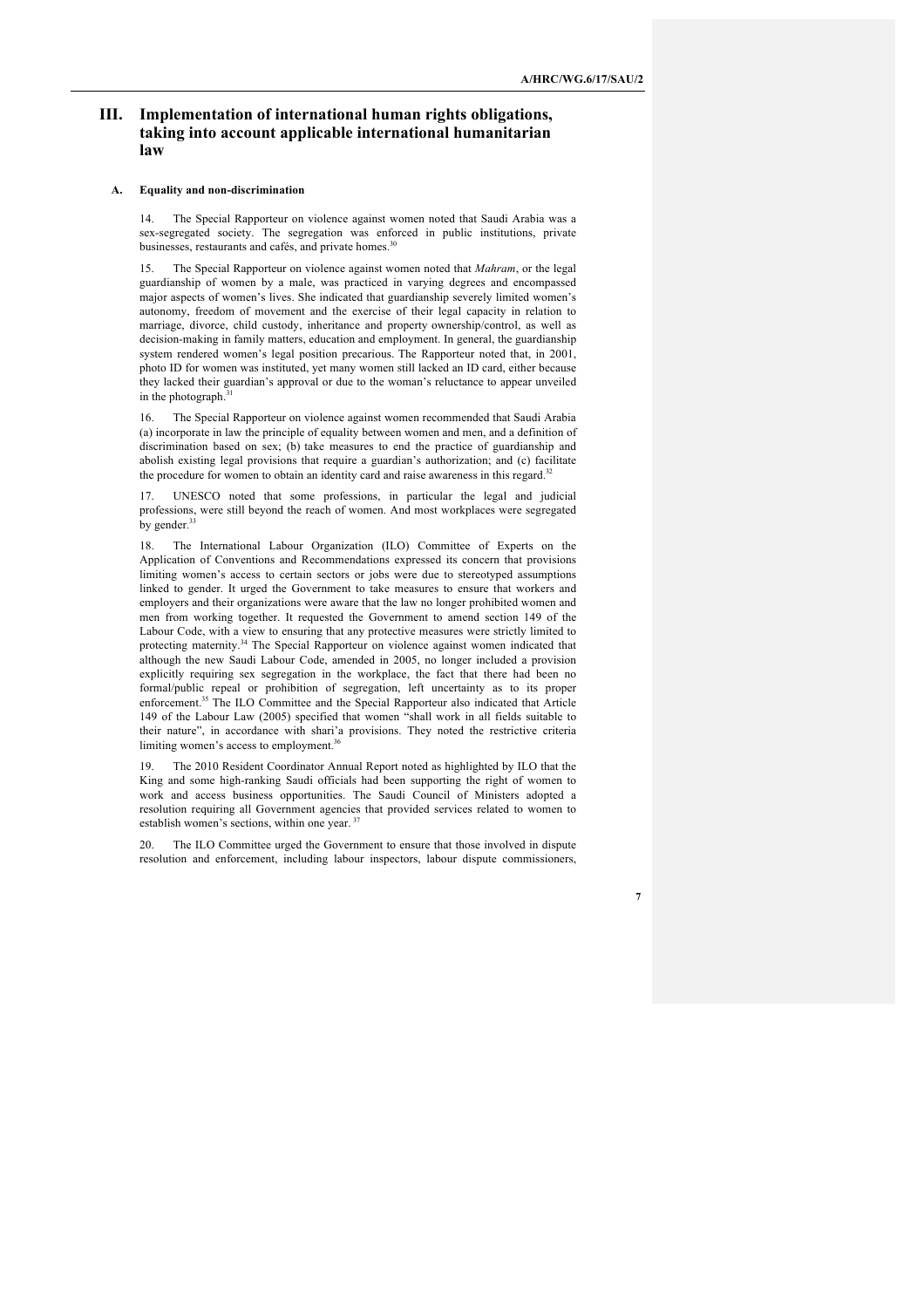## **III. Implementation of international human rights obligations, taking into account applicable international humanitarian law**

#### **A. Equality and non-discrimination**

14. The Special Rapporteur on violence against women noted that Saudi Arabia was a sex-segregated society. The segregation was enforced in public institutions, private businesses, restaurants and cafés, and private homes.<sup>30</sup>

15. The Special Rapporteur on violence against women noted that *Mahram*, or the legal guardianship of women by a male, was practiced in varying degrees and encompassed major aspects of women's lives. She indicated that guardianship severely limited women's autonomy, freedom of movement and the exercise of their legal capacity in relation to marriage, divorce, child custody, inheritance and property ownership/control, as well as decision-making in family matters, education and employment. In general, the guardianship system rendered women's legal position precarious. The Rapporteur noted that, in 2001, photo ID for women was instituted, yet many women still lacked an ID card, either because they lacked their guardian's approval or due to the woman's reluctance to appear unveiled in the photograph.<sup>31</sup>

The Special Rapporteur on violence against women recommended that Saudi Arabia (a) incorporate in law the principle of equality between women and men, and a definition of discrimination based on sex; (b) take measures to end the practice of guardianship and abolish existing legal provisions that require a guardian's authorization; and (c) facilitate the procedure for women to obtain an identity card and raise awareness in this regard.<sup>32</sup>

17. UNESCO noted that some professions, in particular the legal and judicial professions, were still beyond the reach of women. And most workplaces were segregated by gender.<sup>33</sup>

18. The International Labour Organization (ILO) Committee of Experts on the Application of Conventions and Recommendations expressed its concern that provisions limiting women's access to certain sectors or jobs were due to stereotyped assumptions linked to gender. It urged the Government to take measures to ensure that workers and employers and their organizations were aware that the law no longer prohibited women and men from working together. It requested the Government to amend section 149 of the Labour Code, with a view to ensuring that any protective measures were strictly limited to protecting maternity.<sup>34</sup> The Special Rapporteur on violence against women indicated that although the new Saudi Labour Code, amended in 2005, no longer included a provision explicitly requiring sex segregation in the workplace, the fact that there had been no formal/public repeal or prohibition of segregation, left uncertainty as to its proper enforcement.<sup>35</sup> The ILO Committee and the Special Rapporteur also indicated that Article 149 of the Labour Law (2005) specified that women "shall work in all fields suitable to their nature", in accordance with shari'a provisions. They noted the restrictive criteria limiting women's access to employment.<sup>36</sup>

19. The 2010 Resident Coordinator Annual Report noted as highlighted by ILO that the King and some high-ranking Saudi officials had been supporting the right of women to work and access business opportunities. The Saudi Council of Ministers adopted a resolution requiring all Government agencies that provided services related to women to establish women's sections, within one year.<sup>37</sup>

20. The ILO Committee urged the Government to ensure that those involved in dispute resolution and enforcement, including labour inspectors, labour dispute commissioners,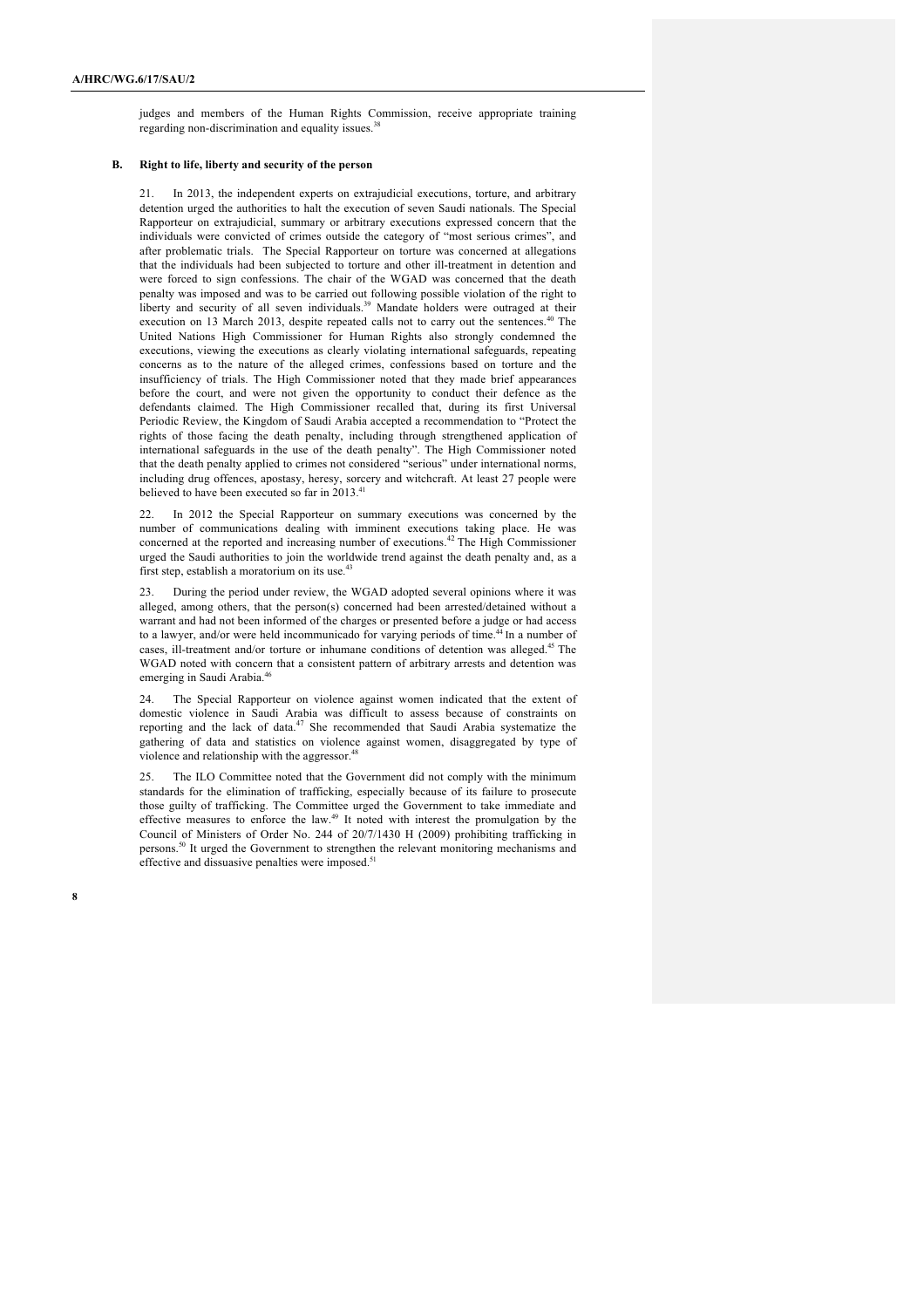judges and members of the Human Rights Commission, receive appropriate training regarding non-discrimination and equality issues.<sup>3</sup>

### **B. Right to life, liberty and security of the person**

21. In 2013, the independent experts on extrajudicial executions, torture, and arbitrary detention urged the authorities to halt the execution of seven Saudi nationals. The Special Rapporteur on extrajudicial, summary or arbitrary executions expressed concern that the individuals were convicted of crimes outside the category of "most serious crimes", and after problematic trials. The Special Rapporteur on torture was concerned at allegations that the individuals had been subjected to torture and other ill-treatment in detention and were forced to sign confessions. The chair of the WGAD was concerned that the death penalty was imposed and was to be carried out following possible violation of the right to liberty and security of all seven individuals.<sup>39</sup> Mandate holders were outraged at their execution on 13 March 2013, despite repeated calls not to carry out the sentences.<sup>4</sup> United Nations High Commissioner for Human Rights also strongly condemned the executions, viewing the executions as clearly violating international safeguards, repeating concerns as to the nature of the alleged crimes, confessions based on torture and the insufficiency of trials. The High Commissioner noted that they made brief appearances before the court, and were not given the opportunity to conduct their defence as the defendants claimed. The High Commissioner recalled that, during its first Universal Periodic Review, the Kingdom of Saudi Arabia accepted a recommendation to "Protect the rights of those facing the death penalty, including through strengthened application of international safeguards in the use of the death penalty". The High Commissioner noted that the death penalty applied to crimes not considered "serious" under international norms, including drug offences, apostasy, heresy, sorcery and witchcraft. At least 27 people were believed to have been executed so far in 2013.<sup>41</sup>

In 2012 the Special Rapporteur on summary executions was concerned by the number of communications dealing with imminent executions taking place. He was concerned at the reported and increasing number of executions. <sup>42</sup> The High Commissioner urged the Saudi authorities to join the worldwide trend against the death penalty and, as a first step, establish a moratorium on its use.<sup>43</sup>

During the period under review, the WGAD adopted several opinions where it was alleged, among others, that the person(s) concerned had been arrested/detained without a warrant and had not been informed of the charges or presented before a judge or had access to a lawyer, and/or were held incommunicado for varying periods of time.<sup>44</sup> In a number of cases, ill-treatment and/or torture or inhumane conditions of detention was alleged.<sup>45</sup> The WGAD noted with concern that a consistent pattern of arbitrary arrests and detention was emerging in Saudi Arabia.<sup>46</sup>

24. The Special Rapporteur on violence against women indicated that the extent of domestic violence in Saudi Arabia was difficult to assess because of constraints on reporting and the lack of data.<sup>47</sup> She recommended that Saudi Arabia systematize the gathering of data and statistics on violence against women, disaggregated by type of violence and relationship with the aggressor.<sup>48</sup>

25. The ILO Committee noted that the Government did not comply with the minimum standards for the elimination of trafficking, especially because of its failure to prosecute those guilty of trafficking. The Committee urged the Government to take immediate and effective measures to enforce the law.49 It noted with interest the promulgation by the Council of Ministers of Order No. 244 of 20/7/1430 H (2009) prohibiting trafficking in persons.<sup>50</sup> It urged the Government to strengthen the relevant monitoring mechanisms and effective and dissuasive penalties were imposed.<sup>51</sup>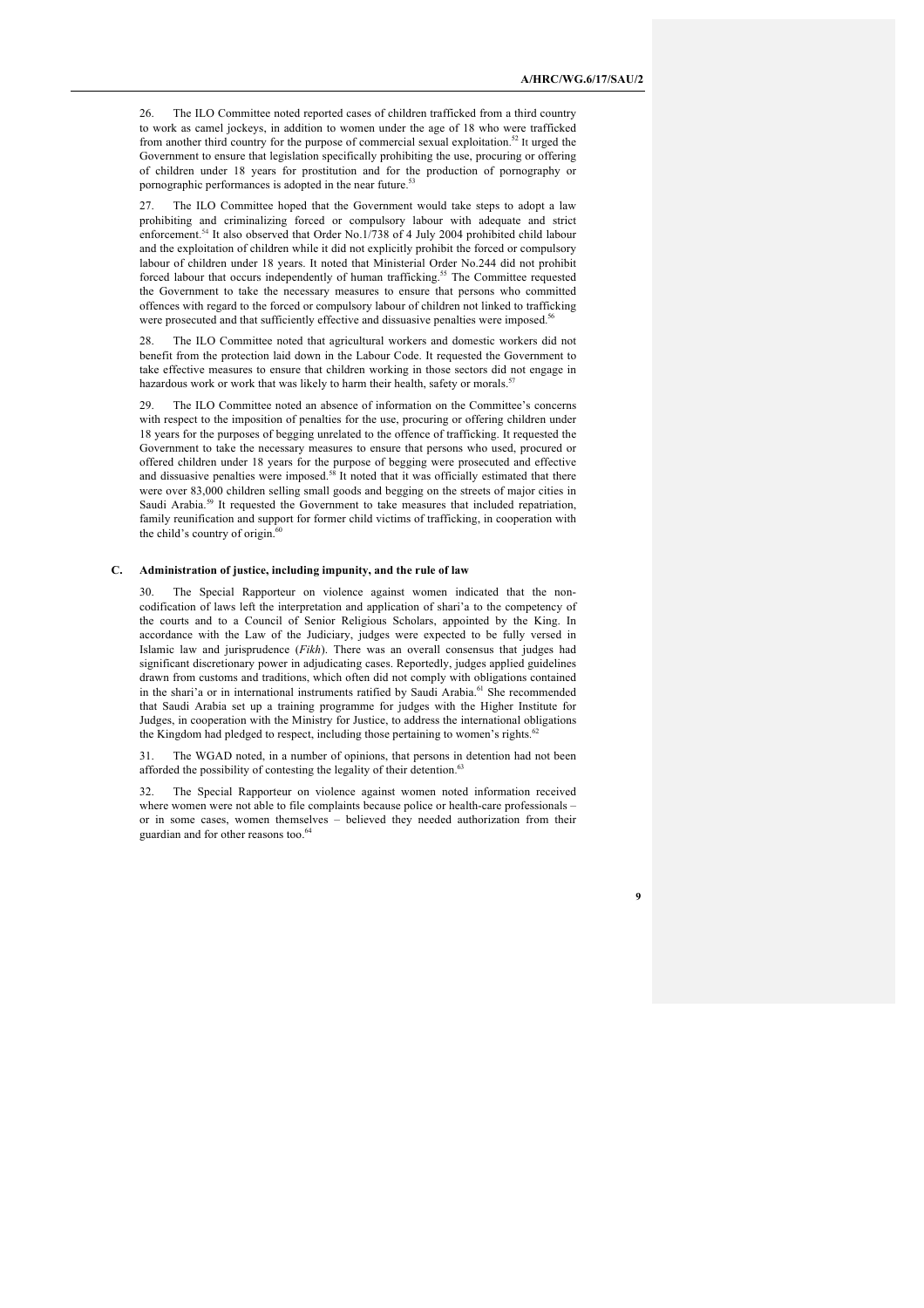26. The ILO Committee noted reported cases of children trafficked from a third country to work as camel jockeys, in addition to women under the age of 18 who were trafficked from another third country for the purpose of commercial sexual exploitation.<sup>52</sup> It urged the Government to ensure that legislation specifically prohibiting the use, procuring or offering of children under 18 years for prostitution and for the production of pornography or pornographic performances is adopted in the near future.<sup>53</sup>

27. The ILO Committee hoped that the Government would take steps to adopt a law prohibiting and criminalizing forced or compulsory labour with adequate and strict enforcement.<sup>54</sup> It also observed that Order No.1/738 of 4 July 2004 prohibited child labour and the exploitation of children while it did not explicitly prohibit the forced or compulsory labour of children under 18 years. It noted that Ministerial Order No.244 did not prohibit forced labour that occurs independently of human trafficking.55 The Committee requested the Government to take the necessary measures to ensure that persons who committed offences with regard to the forced or compulsory labour of children not linked to trafficking were prosecuted and that sufficiently effective and dissuasive penalties were imposed.<sup>56</sup>

28. The ILO Committee noted that agricultural workers and domestic workers did not benefit from the protection laid down in the Labour Code. It requested the Government to take effective measures to ensure that children working in those sectors did not engage in hazardous work or work that was likely to harm their health, safety or morals.<sup>5</sup>

29. The ILO Committee noted an absence of information on the Committee's concerns with respect to the imposition of penalties for the use, procuring or offering children under 18 years for the purposes of begging unrelated to the offence of trafficking. It requested the Government to take the necessary measures to ensure that persons who used, procured or offered children under 18 years for the purpose of begging were prosecuted and effective and dissuasive penalties were imposed.<sup>58</sup> It noted that it was officially estimated that there were over 83,000 children selling small goods and begging on the streets of major cities in Saudi Arabia.<sup>59</sup> It requested the Government to take measures that included repatriation, family reunification and support for former child victims of trafficking, in cooperation with the child's country of origin. $\frac{6}{6}$ 

#### **C. Administration of justice, including impunity, and the rule of law**

The Special Rapporteur on violence against women indicated that the noncodification of laws left the interpretation and application of shari'a to the competency of the courts and to a Council of Senior Religious Scholars, appointed by the King. In accordance with the Law of the Judiciary, judges were expected to be fully versed in Islamic law and jurisprudence (*Fikh*). There was an overall consensus that judges had significant discretionary power in adjudicating cases. Reportedly, judges applied guidelines drawn from customs and traditions, which often did not comply with obligations contained in the shari'a or in international instruments ratified by Saudi Arabia.<sup>61</sup> She recommended that Saudi Arabia set up a training programme for judges with the Higher Institute for Judges, in cooperation with the Ministry for Justice, to address the international obligations the Kingdom had pledged to respect, including those pertaining to women's rights.<sup>62</sup>

31. The WGAD noted, in a number of opinions, that persons in detention had not been afforded the possibility of contesting the legality of their detention.<sup>63</sup>

The Special Rapporteur on violence against women noted information received where women were not able to file complaints because police or health-care professionals or in some cases, women themselves – believed they needed authorization from their guardian and for other reasons too.<sup>64</sup>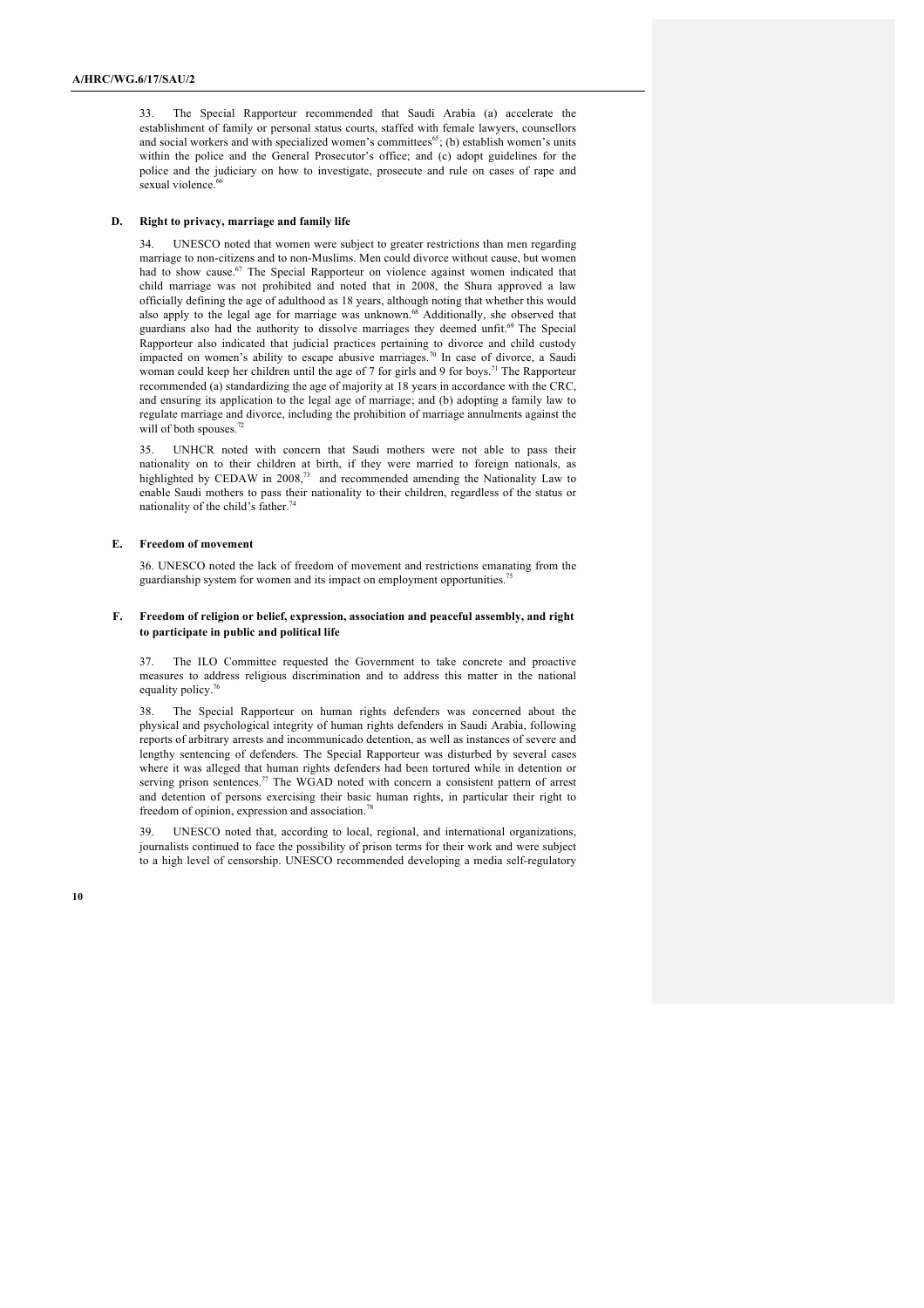33. The Special Rapporteur recommended that Saudi Arabia (a) accelerate the establishment of family or personal status courts, staffed with female lawyers, counsellors and social workers and with specialized women's committees<sup>65</sup>; (b) establish women's units within the police and the General Prosecutor's office; and (c) adopt guidelines for the police and the judiciary on how to investigate, prosecute and rule on cases of rape and sexual violence.<sup>6</sup>

#### **D. Right to privacy, marriage and family life**

UNESCO noted that women were subject to greater restrictions than men regarding marriage to non-citizens and to non-Muslims. Men could divorce without cause, but women had to show cause.<sup>67</sup> The Special Rapporteur on violence against women indicated that child marriage was not prohibited and noted that in 2008, the Shura approved a law officially defining the age of adulthood as 18 years, although noting that whether this would also apply to the legal age for marriage was unknown.<sup>68</sup> Additionally, she observed that guardians also had the authority to dissolve marriages they deemed unfit.<sup>69</sup> The Special Rapporteur also indicated that judicial practices pertaining to divorce and child custody impacted on women's ability to escape abusive marriages.<sup>70</sup> In case of divorce, a Saudi woman could keep her children until the age of 7 for girls and 9 for boys.<sup>71</sup> The Rapporteur recommended (a) standardizing the age of majority at 18 years in accordance with the CRC, and ensuring its application to the legal age of marriage; and (b) adopting a family law to regulate marriage and divorce, including the prohibition of marriage annulments against the will of both spouses.<sup>72</sup>

35. UNHCR noted with concern that Saudi mothers were not able to pass their nationality on to their children at birth, if they were married to foreign nationals, as highlighted by CEDAW in 2008,<sup>73</sup> and recommended amending the Nationality Law to enable Saudi mothers to pass their nationality to their children, regardless of the status or nationality of the child's father.<sup>74</sup>

#### **E. Freedom of movement**

36. UNESCO noted the lack of freedom of movement and restrictions emanating from the guardianship system for women and its impact on employment opportunities.<sup>75</sup>

#### **F. Freedom of religion or belief, expression, association and peaceful assembly, and right to participate in public and political life**

37. The ILO Committee requested the Government to take concrete and proactive measures to address religious discrimination and to address this matter in the national equality policy.<sup>76</sup>

38. The Special Rapporteur on human rights defenders was concerned about the physical and psychological integrity of human rights defenders in Saudi Arabia, following reports of arbitrary arrests and incommunicado detention, as well as instances of severe and lengthy sentencing of defenders. The Special Rapporteur was disturbed by several cases where it was alleged that human rights defenders had been tortured while in detention or serving prison sentences.<sup>77</sup> The WGAD noted with concern a consistent pattern of arrest and detention of persons exercising their basic human rights, in particular their right to freedom of opinion, expression and association.

39. UNESCO noted that, according to local, regional, and international organizations, journalists continued to face the possibility of prison terms for their work and were subject to a high level of censorship. UNESCO recommended developing a media self-regulatory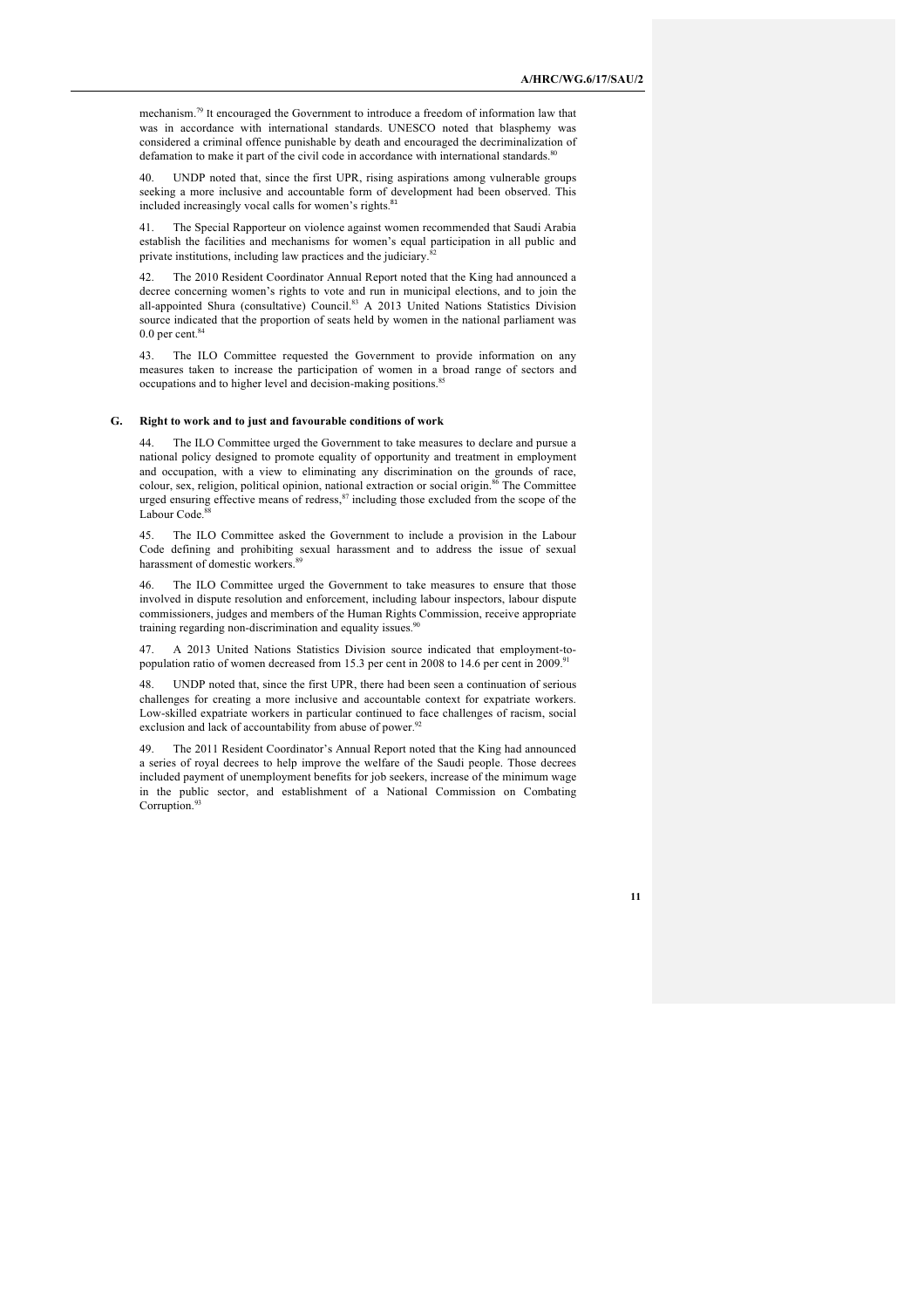mechanism.79 It encouraged the Government to introduce a freedom of information law that was in accordance with international standards. UNESCO noted that blasphemy was considered a criminal offence punishable by death and encouraged the decriminalization of defamation to make it part of the civil code in accordance with international standards.<sup>8</sup>

40. UNDP noted that, since the first UPR, rising aspirations among vulnerable groups seeking a more inclusive and accountable form of development had been observed. This included increasingly vocal calls for women's rights.<sup>81</sup>

41. The Special Rapporteur on violence against women recommended that Saudi Arabia establish the facilities and mechanisms for women's equal participation in all public and private institutions, including law practices and the judiciary.<sup>8</sup>

42. The 2010 Resident Coordinator Annual Report noted that the King had announced a decree concerning women's rights to vote and run in municipal elections, and to join the all-appointed Shura (consultative) Council.<sup>83</sup> A 2013 United Nations Statistics Division source indicated that the proportion of seats held by women in the national parliament was  $0.0$  per cent. $84$ 

43. The ILO Committee requested the Government to provide information on any measures taken to increase the participation of women in a broad range of sectors and occupations and to higher level and decision-making positions.<sup>85</sup>

#### **G. Right to work and to just and favourable conditions of work**

44. The ILO Committee urged the Government to take measures to declare and pursue a national policy designed to promote equality of opportunity and treatment in employment and occupation, with a view to eliminating any discrimination on the grounds of race, colour, sex, religion, political opinion, national extraction or social origin.<sup>86</sup> The Committee urged ensuring effective means of redress,  $87$  including those excluded from the scope of the Labour Code. 88

45. The ILO Committee asked the Government to include a provision in the Labour Code defining and prohibiting sexual harassment and to address the issue of sexual harassment of domestic workers.

46. The ILO Committee urged the Government to take measures to ensure that those involved in dispute resolution and enforcement, including labour inspectors, labour dispute commissioners, judges and members of the Human Rights Commission, receive appropriate training regarding non-discrimination and equality issues.<sup>90</sup>

47. A 2013 United Nations Statistics Division source indicated that employment-topopulation ratio of women decreased from 15.3 per cent in 2008 to 14.6 per cent in 2009.<sup>91</sup>

48. UNDP noted that, since the first UPR, there had been seen a continuation of serious challenges for creating a more inclusive and accountable context for expatriate workers. Low-skilled expatriate workers in particular continued to face challenges of racism, social exclusion and lack of accountability from abuse of power.<sup>92</sup>

The 2011 Resident Coordinator's Annual Report noted that the King had announced a series of royal decrees to help improve the welfare of the Saudi people. Those decrees included payment of unemployment benefits for job seekers, increase of the minimum wage in the public sector, and establishment of a National Commission on Combating Corruption.<sup>93</sup>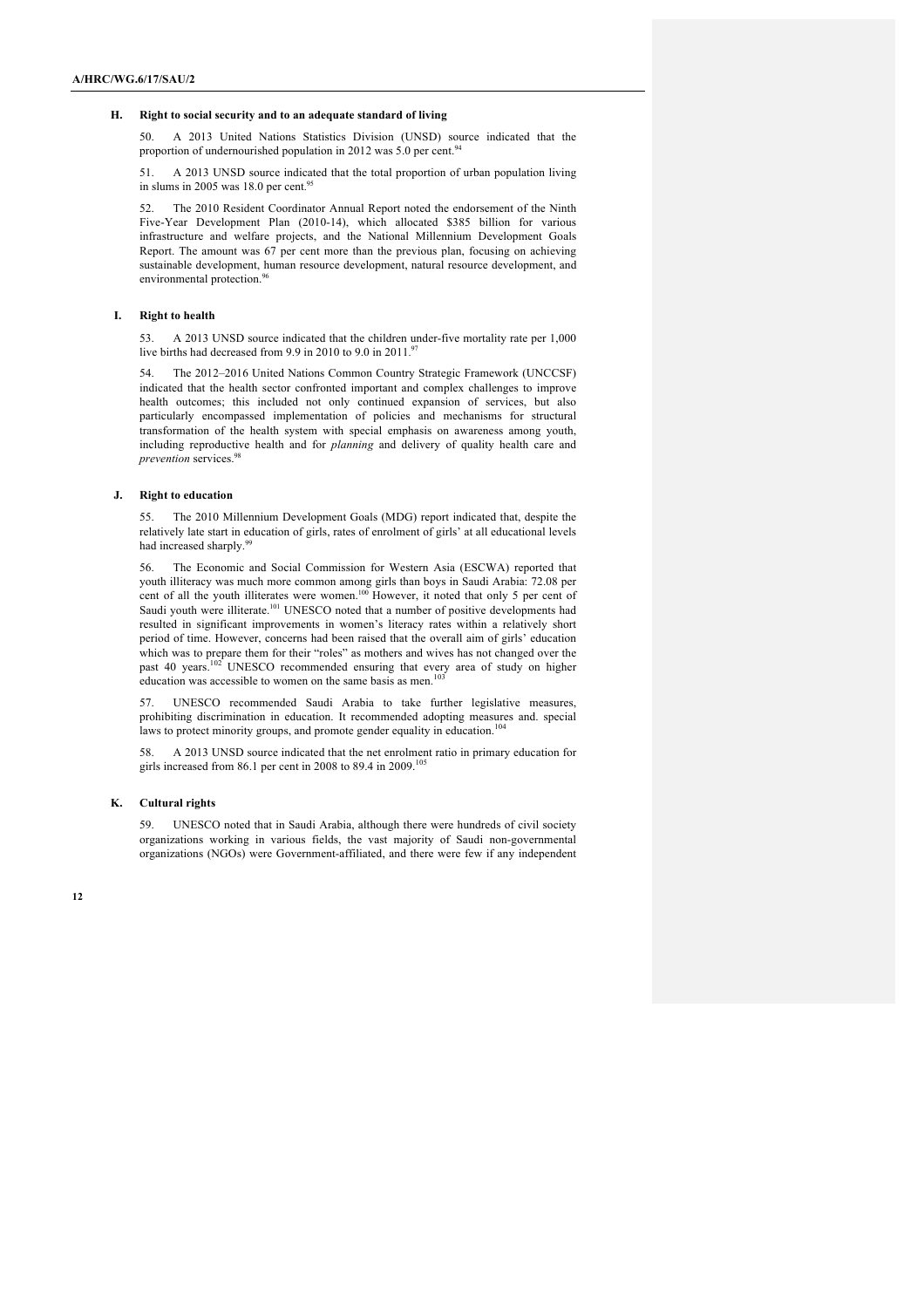#### **H. Right to social security and to an adequate standard of living**

50. A 2013 United Nations Statistics Division (UNSD) source indicated that the proportion of undernourished population in 2012 was 5.0 per cent.<sup>94</sup>

51. A 2013 UNSD source indicated that the total proportion of urban population living in slums in 2005 was 18.0 per cent.<sup>95</sup>

52. The 2010 Resident Coordinator Annual Report noted the endorsement of the Ninth Five-Year Development Plan (2010-14), which allocated \$385 billion for various infrastructure and welfare projects, and the National Millennium Development Goals Report. The amount was 67 per cent more than the previous plan, focusing on achieving sustainable development, human resource development, natural resource development, and environmental protection.<sup>96</sup>

#### **I. Right to health**

53. A 2013 UNSD source indicated that the children under-five mortality rate per 1,000 live births had decreased from 9.9 in 2010 to 9.0 in 2011.<sup>97</sup>

54. The 2012–2016 United Nations Common Country Strategic Framework (UNCCSF) indicated that the health sector confronted important and complex challenges to improve health outcomes; this included not only continued expansion of services, but also particularly encompassed implementation of policies and mechanisms for structural transformation of the health system with special emphasis on awareness among youth, including reproductive health and for *planning* and delivery of quality health care and *prevention* services. 98

#### **J. Right to education**

55. The 2010 Millennium Development Goals (MDG) report indicated that, despite the relatively late start in education of girls, rates of enrolment of girls' at all educational levels had increased sharply.<sup>99</sup>

56. The Economic and Social Commission for Western Asia (ESCWA) reported that youth illiteracy was much more common among girls than boys in Saudi Arabia: 72.08 per cent of all the youth illiterates were women.<sup>100</sup> However, it noted that only 5 per cent of Saudi youth were illiterate.<sup>101</sup> UNESCO noted that a number of positive developments had resulted in significant improvements in women's literacy rates within a relatively short period of time. However, concerns had been raised that the overall aim of girls' education which was to prepare them for their "roles" as mothers and wives has not changed over the past 40 years.<sup>102</sup> UNESCO recommended ensuring that every area of study on higher education was accessible to women on the same basis as men.<sup>103</sup>

57. UNESCO recommended Saudi Arabia to take further legislative measures, prohibiting discrimination in education. It recommended adopting measures and. special laws to protect minority groups, and promote gender equality in education.<sup>104</sup>

58. A 2013 UNSD source indicated that the net enrolment ratio in primary education for girls increased from 86.1 per cent in 2008 to 89.4 in 2009.<sup>10</sup>

#### **K. Cultural rights**

59. UNESCO noted that in Saudi Arabia, although there were hundreds of civil society organizations working in various fields, the vast majority of Saudi non-governmental organizations (NGOs) were Government-affiliated, and there were few if any independent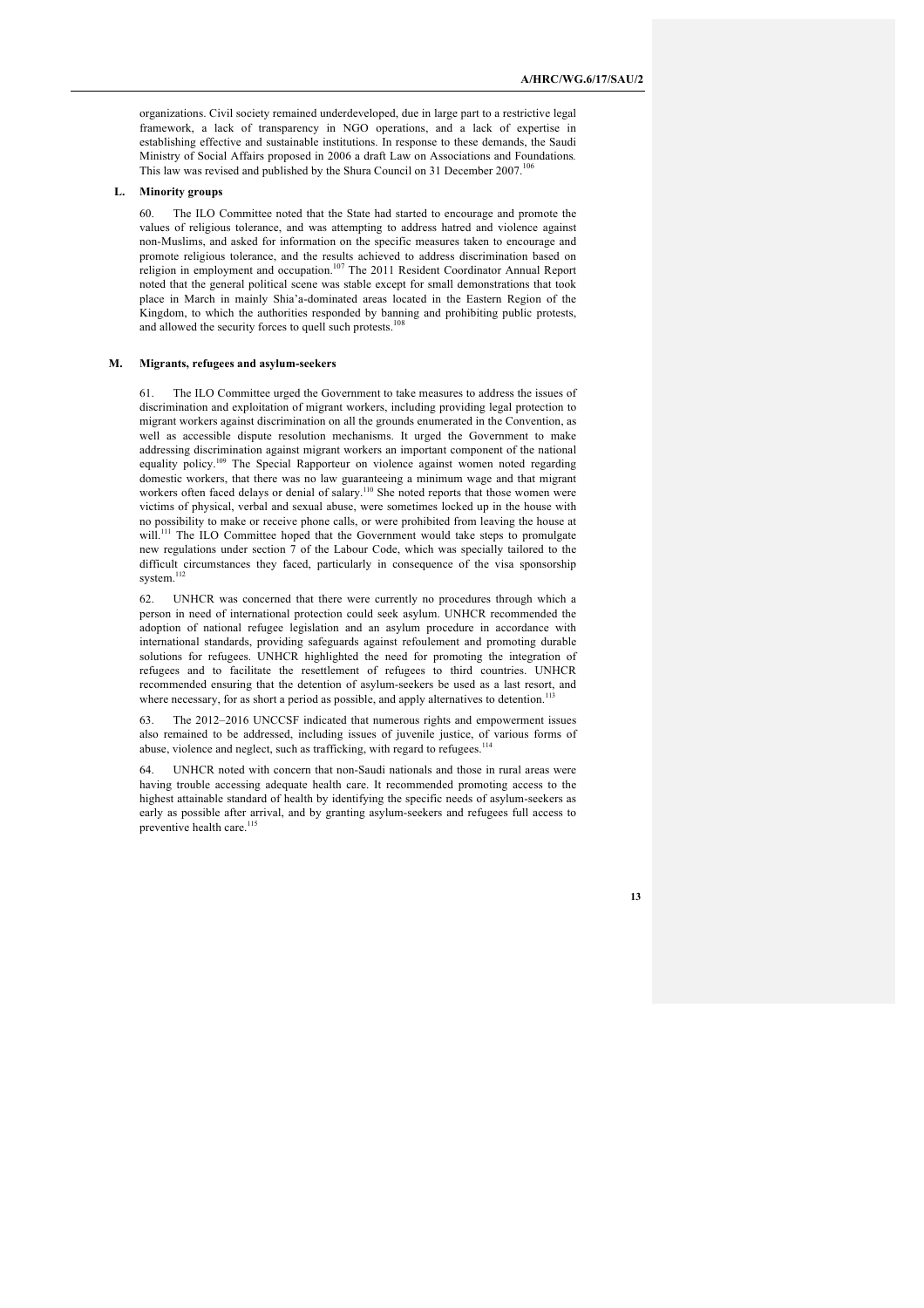organizations. Civil society remained underdeveloped, due in large part to a restrictive legal framework, a lack of transparency in NGO operations, and a lack of expertise in establishing effective and sustainable institutions. In response to these demands, the Saudi Ministry of Social Affairs proposed in 2006 a draft Law on Associations and Foundations*.* This law was revised and published by the Shura Council on 31 December  $2007$ .<sup>1</sup>

#### **L. Minority groups**

60. The ILO Committee noted that the State had started to encourage and promote the values of religious tolerance, and was attempting to address hatred and violence against non-Muslims, and asked for information on the specific measures taken to encourage and promote religious tolerance, and the results achieved to address discrimination based on religion in employment and occupation.<sup>107</sup> The 2011 Resident Coordinator Annual Report noted that the general political scene was stable except for small demonstrations that took place in March in mainly Shia'a-dominated areas located in the Eastern Region of the Kingdom, to which the authorities responded by banning and prohibiting public protests, and allowed the security forces to quell such protests.<sup>108</sup>

## **M. Migrants, refugees and asylum-seekers**

61. The ILO Committee urged the Government to take measures to address the issues of discrimination and exploitation of migrant workers, including providing legal protection to migrant workers against discrimination on all the grounds enumerated in the Convention, as well as accessible dispute resolution mechanisms. It urged the Government to make addressing discrimination against migrant workers an important component of the national equality policy.<sup>109</sup> The Special Rapporteur on violence against women noted regarding domestic workers, that there was no law guaranteeing a minimum wage and that migrant workers often faced delays or denial of salary.<sup>110</sup> She noted reports that those women were victims of physical, verbal and sexual abuse, were sometimes locked up in the house with no possibility to make or receive phone calls, or were prohibited from leaving the house at will.<sup>111</sup> The ILO Committee hoped that the Government would take steps to promulgate new regulations under section 7 of the Labour Code, which was specially tailored to the difficult circumstances they faced, particularly in consequence of the visa sponsorship system.<sup>11</sup>

62. UNHCR was concerned that there were currently no procedures through which a person in need of international protection could seek asylum. UNHCR recommended the adoption of national refugee legislation and an asylum procedure in accordance with international standards, providing safeguards against refoulement and promoting durable solutions for refugees. UNHCR highlighted the need for promoting the integration of refugees and to facilitate the resettlement of refugees to third countries. UNHCR recommended ensuring that the detention of asylum-seekers be used as a last resort, and where necessary, for as short a period as possible, and apply alternatives to detention.

63. The 2012–2016 UNCCSF indicated that numerous rights and empowerment issues also remained to be addressed, including issues of juvenile justice, of various forms of abuse, violence and neglect, such as trafficking, with regard to refugees.<sup>114</sup>

64. UNHCR noted with concern that non-Saudi nationals and those in rural areas were having trouble accessing adequate health care. It recommended promoting access to the highest attainable standard of health by identifying the specific needs of asylum-seekers as early as possible after arrival, and by granting asylum-seekers and refugees full access to preventive health care.<sup>115</sup>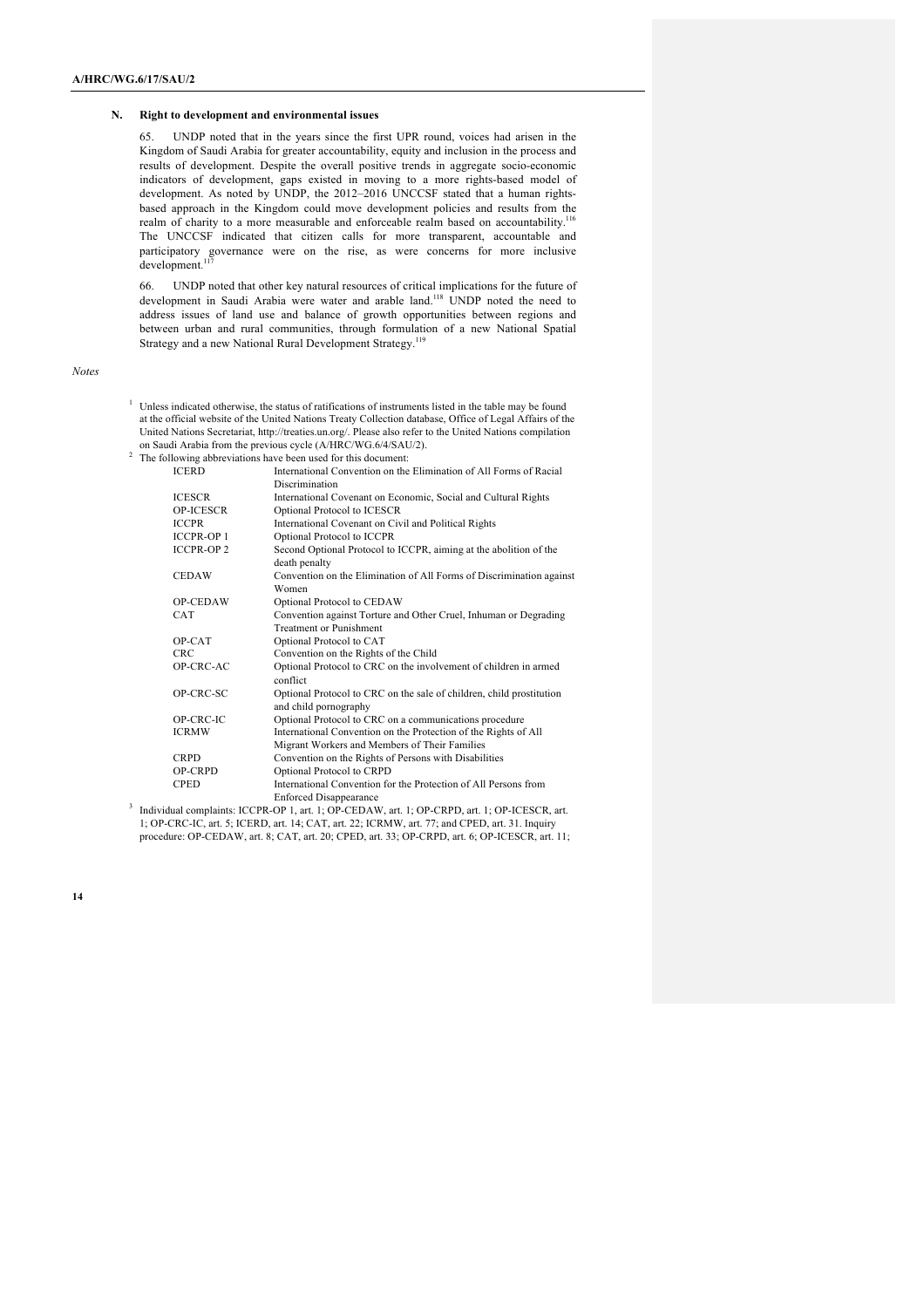#### **N. Right to development and environmental issues**

65. UNDP noted that in the years since the first UPR round, voices had arisen in the Kingdom of Saudi Arabia for greater accountability, equity and inclusion in the process and results of development. Despite the overall positive trends in aggregate socio-economic indicators of development, gaps existed in moving to a more rights-based model of development. As noted by UNDP, the 2012–2016 UNCCSF stated that a human rightsbased approach in the Kingdom could move development policies and results from the realm of charity to a more measurable and enforceable realm based on accountability.<sup>116</sup> The UNCCSF indicated that citizen calls for more transparent, accountable and participatory governance were on the rise, as were concerns for more inclusive development. 117

66. UNDP noted that other key natural resources of critical implications for the future of development in Saudi Arabia were water and arable land. <sup>118</sup> UNDP noted the need to address issues of land use and balance of growth opportunities between regions and between urban and rural communities, through formulation of a new National Spatial Strategy and a new National Rural Development Strategy.<sup>119</sup>

*Notes*

- <sup>1</sup> Unless indicated otherwise, the status of ratifications of instruments listed in the table may be found at the official website of the United Nations Treaty Collection database, Office of Legal Affairs of the United Nations Secretariat, http://treaties.un.org/. Please also refer to the United Nations compilation on Saudi Arabia from the previous cycle (A/HRC/WG.6/4/SAU/2).<br>The following abbreviations have been used for this document.
- $2 \text{ The follow}$

|                   | phowing aboreviations have been used for this document.                              |
|-------------------|--------------------------------------------------------------------------------------|
| <b>ICERD</b>      | International Convention on the Elimination of All Forms of Racial<br>Discrimination |
|                   |                                                                                      |
| <b>ICESCR</b>     | International Covenant on Economic, Social and Cultural Rights                       |
| OP-ICESCR         | Optional Protocol to ICESCR                                                          |
| <b>ICCPR</b>      | International Covenant on Civil and Political Rights                                 |
| <b>ICCPR-OP 1</b> | Optional Protocol to ICCPR                                                           |
| <b>ICCPR-OP 2</b> | Second Optional Protocol to ICCPR, aiming at the abolition of the                    |
|                   | death penalty                                                                        |
| <b>CEDAW</b>      | Convention on the Elimination of All Forms of Discrimination against                 |
|                   | Women                                                                                |
| OP-CEDAW          | Optional Protocol to CEDAW                                                           |
| <b>CAT</b>        | Convention against Torture and Other Cruel, Inhuman or Degrading                     |
|                   | <b>Treatment or Punishment</b>                                                       |
| OP-CAT            | Optional Protocol to CAT                                                             |
| <b>CRC</b>        | Convention on the Rights of the Child                                                |
| OP-CRC-AC         | Optional Protocol to CRC on the involvement of children in armed                     |
|                   | conflict                                                                             |
| OP-CRC-SC         | Optional Protocol to CRC on the sale of children, child prostitution                 |
|                   | and child pornography                                                                |
| OP-CRC-IC         | Optional Protocol to CRC on a communications procedure                               |
| <b>ICRMW</b>      | International Convention on the Protection of the Rights of All                      |
|                   | Migrant Workers and Members of Their Families                                        |
| <b>CRPD</b>       | Convention on the Rights of Persons with Disabilities                                |
| OP-CRPD           | Optional Protocol to CRPD                                                            |
| <b>CPED</b>       | International Convention for the Protection of All Persons from                      |
|                   | <b>Enforced Disappearance</b>                                                        |
|                   | dual complainted LCCDD, OD 1, and 1. OD CEDAW, and 1. OD CDDD, and 1. OD LCESCD, and |

<sup>3</sup> Individual complaints: ICCPR-OP 1, art. 1; OP-CEDAW, art. 1; OP-CRPD, art. 1; OP-ICESCR, art. 1; OP-CRC-IC, art. 5; ICERD, art. 14; CAT, art. 22; ICRMW, art. 77; and CPED, art. 31. Inquiry procedure: OP-CEDAW, art. 8; CAT, art. 20; CPED, art. 33; OP-CRPD, art. 6; OP-ICESCR, art. 11;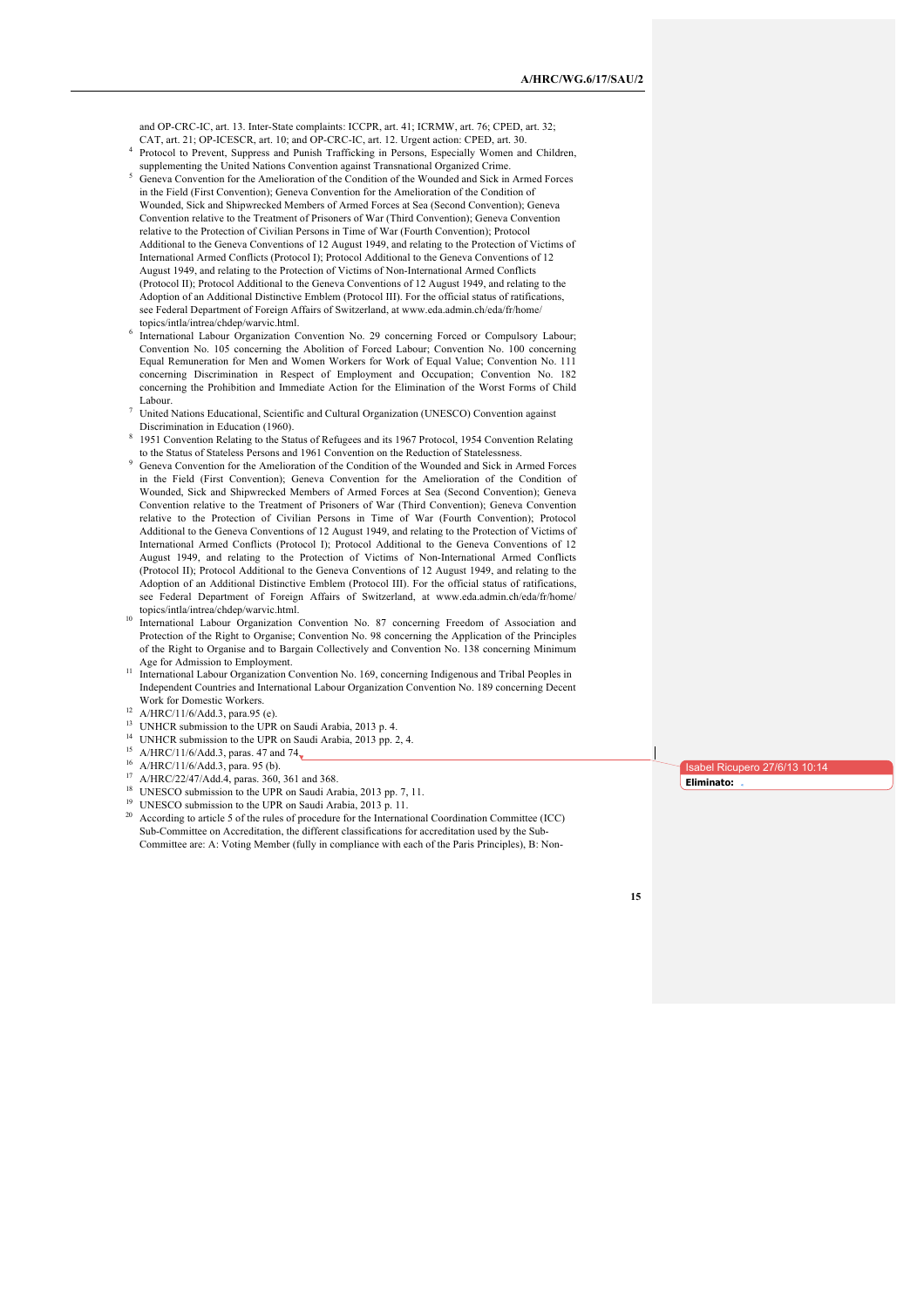and OP-CRC-IC, art. 13. Inter-State complaints: ICCPR, art. 41; ICRMW, art. 76; CPED, art. 32; CAT, art. 21; OP-ICESCR, art. 10; and OP-CRC-IC, art. 12. Urgent action: CPED, art. 30.

- <sup>4</sup> Protocol to Prevent, Suppress and Punish Trafficking in Persons, Especially Women and Children, supplementing the United Nations Convention against Transnational Organized Crime.
- <sup>5</sup> Geneva Convention for the Amelioration of the Condition of the Wounded and Sick in Armed Forces in the Field (First Convention); Geneva Convention for the Amelioration of the Condition of Wounded, Sick and Shipwrecked Members of Armed Forces at Sea (Second Convention); Geneva Convention relative to the Treatment of Prisoners of War (Third Convention); Geneva Convention relative to the Protection of Civilian Persons in Time of War (Fourth Convention); Protocol Additional to the Geneva Conventions of 12 August 1949, and relating to the Protection of Victims of International Armed Conflicts (Protocol I); Protocol Additional to the Geneva Conventions of 12 August 1949, and relating to the Protection of Victims of Non-International Armed Conflicts (Protocol II); Protocol Additional to the Geneva Conventions of 12 August 1949, and relating to the Adoption of an Additional Distinctive Emblem (Protocol III). For the official status of ratifications, see Federal Department of Foreign Affairs of Switzerland, at www.eda.admin.ch/eda/fr/home/ topics/intla/intrea/chdep/warvic.html.
- <sup>6</sup> International Labour Organization Convention No. 29 concerning Forced or Compulsory Labour; Convention No. 105 concerning the Abolition of Forced Labour; Convention No. 100 concerning Equal Remuneration for Men and Women Workers for Work of Equal Value; Convention No. 111 concerning Discrimination in Respect of Employment and Occupation; Convention No. 182 concerning the Prohibition and Immediate Action for the Elimination of the Worst Forms of Child Labour.
- <sup>7</sup> United Nations Educational, Scientific and Cultural Organization (UNESCO) Convention against Discrimination in Education (1960).
- 1951 Convention Relating to the Status of Refugees and its 1967 Protocol, 1954 Convention Relating to the Status of Stateless Persons and 1961 Convention on the Reduction of Statelessness.
- <sup>9</sup> Geneva Convention for the Amelioration of the Condition of the Wounded and Sick in Armed Forces in the Field (First Convention); Geneva Convention for the Amelioration of the Condition of Wounded, Sick and Shipwrecked Members of Armed Forces at Sea (Second Convention); Geneva Convention relative to the Treatment of Prisoners of War (Third Convention); Geneva Convention relative to the Protection of Civilian Persons in Time of War (Fourth Convention); Protocol Additional to the Geneva Conventions of 12 August 1949, and relating to the Protection of Victims of International Armed Conflicts (Protocol I); Protocol Additional to the Geneva Conventions of 12 August 1949, and relating to the Protection of Victims of Non-International Armed Conflicts (Protocol II); Protocol Additional to the Geneva Conventions of 12 August 1949, and relating to the Adoption of an Additional Distinctive Emblem (Protocol III). For the official status of ratifications, see Federal Department of Foreign Affairs of Switzerland, at www.eda.admin.ch/eda/fr/home/ topics/intla/intrea/chdep/warvic.html.
- <sup>10</sup> International Labour Organization Convention No. 87 concerning Freedom of Association and Protection of the Right to Organise; Convention No. 98 concerning the Application of the Principles of the Right to Organise and to Bargain Collectively and Convention No. 138 concerning Minimum Age for Admission to Employment.
- <sup>11</sup> International Labour Organization Convention No. 169, concerning Indigenous and Tribal Peoples in Independent Countries and International Labour Organization Convention No. 189 concerning Decent Work for Domestic Workers.
- <sup>12</sup> A/HRC/11/6/Add.3, para.95 (e).
- <sup>13</sup> UNHCR submission to the UPR on Saudi Arabia, 2013 p. 4.
- <sup>14</sup> UNHCR submission to the UPR on Saudi Arabia, 2013 pp. 2, 4.
- <sup>15</sup> A/HRC/11/6/Add.3, paras. 47 and 74 $\sqrt{\frac{2}{1}}$
- <sup>16</sup> A/HRC/11/6/Add.3, para. 95 (b).
- 
- <sup>17</sup> A/HRC/22/47/Add.4, paras. 360, 361 and 368.<br><sup>18</sup> UNESCO submission to the UPR on Saudi Arabia, 2013 pp. 7, 11.
- 
- <sup>19</sup> UNESCO submission to the UPR on Saudi Arabia, 2013 p. 11.<br><sup>20</sup> According to article 5 of the rules of procedure for the International Coordination Committee (ICC) Sub-Committee on Accreditation, the different classifications for accreditation used by the Sub-Committee are: A: Voting Member (fully in compliance with each of the Paris Principles), B: Non-

sabel Ricupero 27/6/13 10:14 **Eliminato:**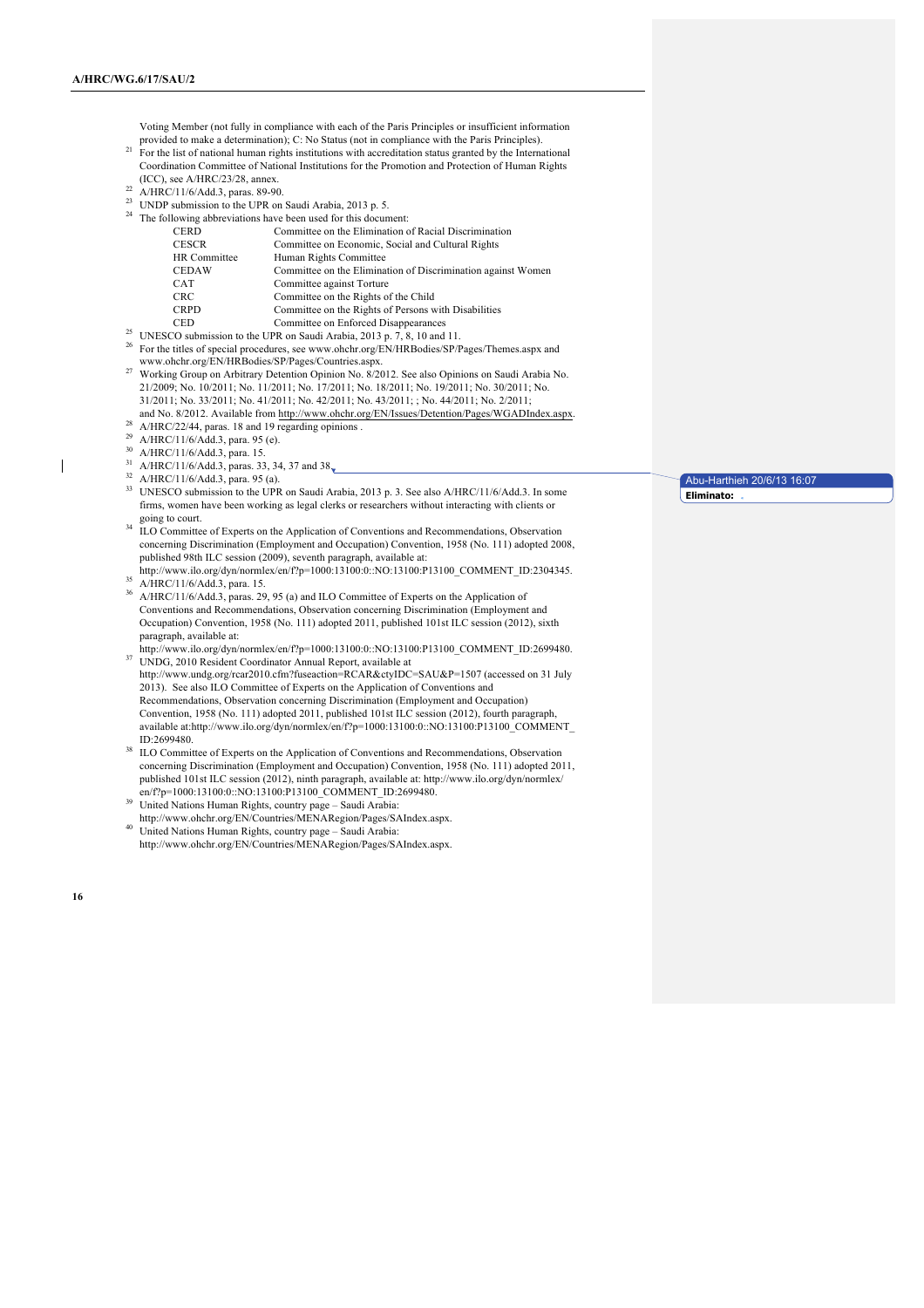Voting Member (not fully in compliance with each of the Paris Principles or insufficient information provided to make a determination); C: No Status (not in compliance with the Paris Principles).

- <sup>21</sup> For the list of national human rights institutions with accreditation status granted by the International Coordination Committee of National Institutions for the Promotion and Protection of Human Rights (ICC), see A/HRC/23/28, annex.
- <sup>22</sup> A/HRC/11/6/Add.3, paras. 89-90.
- <sup>23</sup> UNDP submission to the UPR on Saudi Arabia, 2013 p. 5.
- <sup>24</sup> The following abbreviations have been used for this document:

| <b>CERD</b>         | Committee on the Elimination of Racial Discrimination        |
|---------------------|--------------------------------------------------------------|
| <b>CESCR</b>        | Committee on Economic, Social and Cultural Rights            |
| <b>HR</b> Committee | Human Rights Committee                                       |
| <b>CEDAW</b>        | Committee on the Elimination of Discrimination against Women |
| <b>CAT</b>          | Committee against Torture                                    |
| <b>CRC</b>          | Committee on the Rights of the Child                         |
| <b>CRPD</b>         | Committee on the Rights of Persons with Disabilities         |
| <b>CED</b>          | Committee on Enforced Disappearances                         |
|                     | $\alpha \alpha + \beta + \gamma + \gamma + \gamma$           |

- <sup>25</sup> UNESCO submission to the UPR on Saudi Arabia, 2013 p. 7, 8, 10 and 11.
- <sup>26</sup> For the titles of special procedures, see www.ohchr.org/EN/HRBodies/SP/Pages/Themes.aspx and www.ohchr.org/EN/HRBodies/SP/Pages/Countries.aspx.
- <sup>27</sup> Working Group on Arbitrary Detention Opinion No. 8/2012. See also Opinions on Saudi Arabia No. 21/2009; No. 10/2011; No. 11/2011; No. 17/2011; No. 18/2011; No. 19/2011; No. 30/2011; No. 31/2011; No. 33/2011; No. 41/2011; No. 42/2011; No. 43/2011; ; No. 44/2011; No. 2/2011;
- and No. 8/2012. Available from http://www.ohchr.org/EN/Issues/Detention/Pages/WGADIndex.aspx. 28 A/HRC/22/44, paras. 18 and 19 regarding opinions .
- 
- <sup>29</sup> A/HRC/11/6/Add.3, para. 95 (e).
- <sup>30</sup> A/HRC/11/6/Add.3, para. 15.
- $^{31}$  A/HRC/11/6/Add.3, paras. 33, 34, 37 and 38.
- <sup>32</sup> A/HRC/11/6/Add.3, para. 95 (a).
- <sup>33</sup> UNESCO submission to the UPR on Saudi Arabia, 2013 p. 3. See also A/HRC/11/6/Add.3. In some firms, women have been working as legal clerks or researchers without interacting with clients or going to court.
- <sup>34</sup> ILO Committee of Experts on the Application of Conventions and Recommendations, Observation concerning Discrimination (Employment and Occupation) Convention, 1958 (No. 111) adopted 2008, published 98th ILC session (2009), seventh paragraph, available at: http://www.ilo.org/dyn/normlex/en/f?p=1000:13100:0::NO:13100:P13100\_COMMENT\_ID:2304345.
- <sup>35</sup> A/HRC/11/6/Add.3, para. 15.
- <sup>36</sup> A/HRC/11/6/Add.3, paras. 29, 95 (a) and ILO Committee of Experts on the Application of Conventions and Recommendations, Observation concerning Discrimination (Employment and Occupation) Convention, 1958 (No. 111) adopted 2011, published 101st ILC session (2012), sixth paragraph, available at:
- http://www.ilo.org/dyn/normlex/en/f?p=1000:13100:0::NO:13100:P13100\_COMMENT\_ID:2699480. <sup>37</sup> UNDG, 2010 Resident Coordinator Annual Report, available at http://www.undg.org/rcar2010.cfm?fuseaction=RCAR&ctyIDC=SAU&P=1507 (accessed on 31 July 2013). See also ILO Committee of Experts on the Application of Conventions and Recommendations, Observation concerning Discrimination (Employment and Occupation) Convention, 1958 (No. 111) adopted 2011, published 101st ILC session (2012), fourth paragraph, available at:http://www.ilo.org/dyn/normlex/en/f?p=1000:13100:0::NO:13100:P13100\_COMMENT\_ ID:2699480.
- <sup>38</sup> ILO Committee of Experts on the Application of Conventions and Recommendations, Observation concerning Discrimination (Employment and Occupation) Convention, 1958 (No. 111) adopted 2011, published 101st ILC session (2012), ninth paragraph, available at: http://www.ilo.org/dyn/normlex/ en/f?p=1000:13100:0::NO:13100:P13100\_COMMENT\_ID:2699480.
- <sup>39</sup> United Nations Human Rights, country page Saudi Arabia:
- http://www.ohchr.org/EN/Countries/MENARegion/Pages/SAIndex.aspx. <sup>40</sup> United Nations Human Rights, country page – Saudi Arabia: http://www.ohchr.org/EN/Countries/MENARegion/Pages/SAIndex.aspx.

 $\mathsf{l}$ 

Abu-Harthieh 20/6/13 16:07 **Eliminato:**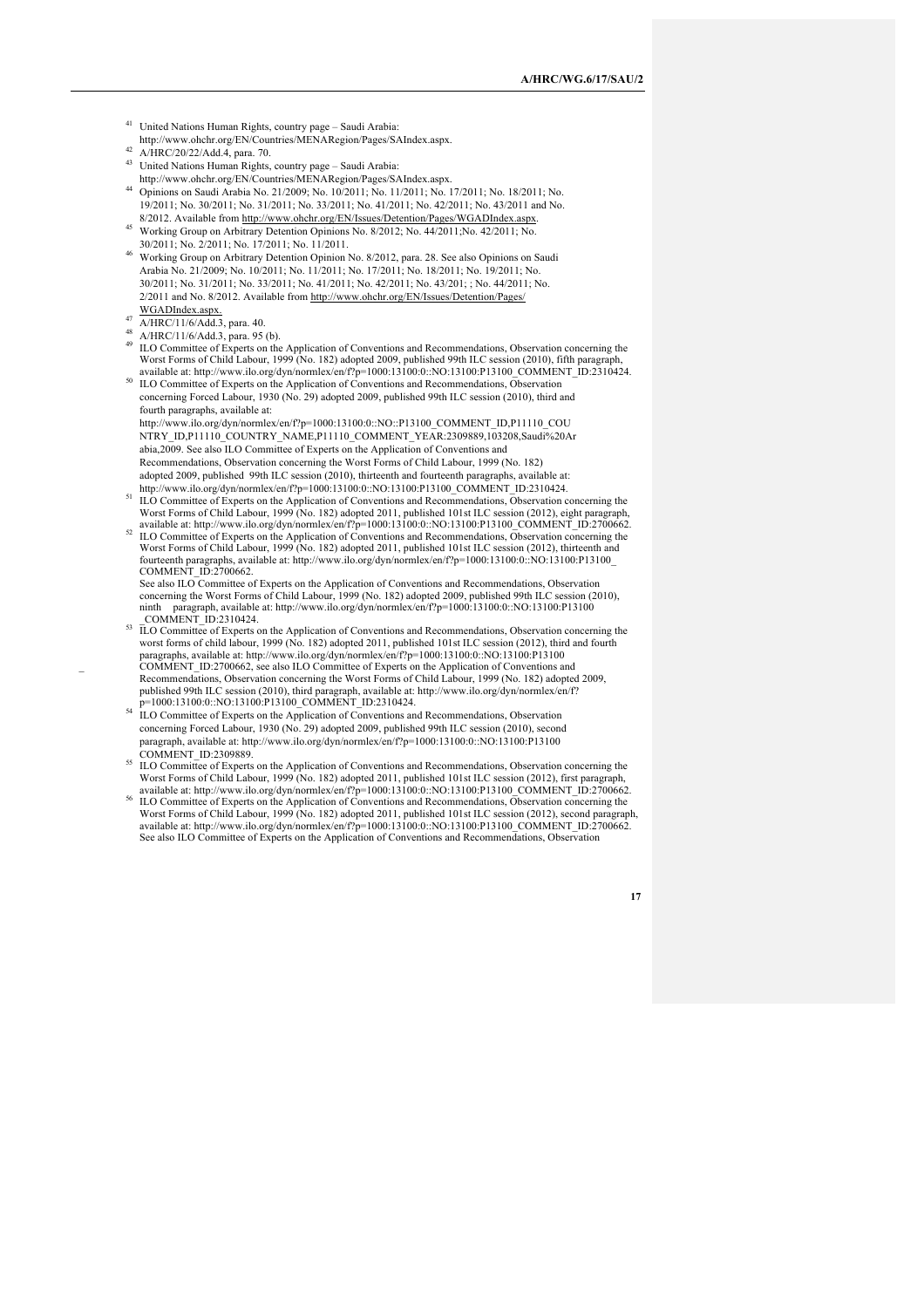- <sup>41</sup> United Nations Human Rights, country page Saudi Arabia:
- http://www.ohchr.org/EN/Countries/MENARegion/Pages/SAIndex.aspx.  $^{42}$  A/HRC/20/22/Add.4, para. 70.
- <sup>43</sup> United Nations Human Rights, country page Saudi Arabia:
- http://www.ohchr.org/EN/Countries/MENARegion/Pages/SAIndex.aspx. <sup>44</sup> Opinions on Saudi Arabia No. 21/2009; No. 10/2011; No. 11/2011; No. 17/2011; No. 18/2011; No. 19/2011; No. 30/2011; No. 31/2011; No. 33/2011; No. 41/2011; No. 42/2011; No. 43/2011 and No. 8/2012. Available from http://www.ohchr.org/EN/Issues/Detention/Pages/WGADIndex.aspx.
- 45 Working Group on Arbitrary Detention Opinions No. 8/2012; No. 44/2011; No. 42/2011; No. 30/2011; No. 2/2011; No. 17/2011; No. 11/2011.
- <sup>46</sup> Working Group on Arbitrary Detention Opinion No. 8/2012, para. 28. See also Opinions on Saudi Arabia No. 21/2009; No. 10/2011; No. 11/2011; No. 17/2011; No. 18/2011; No. 19/2011; No. 30/2011; No. 31/2011; No. 33/2011; No. 41/2011; No. 42/2011; No. 43/201; ; No. 44/2011; No. 2/2011 and No. 8/2012. Available from http://www.ohchr.org/EN/Issues/Detention/Pages/ WGADIndex.aspx.
- 
- $^{47}$  A/HRC/11/6/Add.3, para. 40.<br>A/HRC/11/6/Add.3, para. 95 (b).
- ILO Committee of Experts on the Application of Conventions and Recommendations, Observation concerning the Worst Forms of Child Labour, 1999 (No. 182) adopted 2009, published 99th ILC session (2010), fifth paragraph,<br>available at: http://www.ilo.org/dyn/normlex/en/f?p=1000:13100:0::NO:13100:P13100\_COMMENT\_ID:2310424.
- <sup>50</sup> ILO Committee of Experts on the Application of Conventions and Recommendations, Observation concerning Forced Labour, 1930 (No. 29) adopted 2009, published 99th ILC session (2010), third and fourth paragraphs, available at:
- http://www.ilo.org/dyn/normlex/en/f?p=1000:13100:0::NO::P13100\_COMMENT\_ID,P11110\_COU NTRY\_ID,P11110\_COUNTRY\_NAME,P11110\_COMMENT\_YEAR:2309889,103208,Saudi%20Ar abia,2009. See also ILO Committee of Experts on the Application of Conventions and Recommendations, Observation concerning the Worst Forms of Child Labour, 1999 (No. 182) adopted 2009, published 99th ILC session (2010), thirteenth and fourteenth paragraphs, available at:<br>http://www.ilo.org/dyn/normlex/en/f?p=1000:13100:0::NO:13100:P13100 COMMENT ID:2310424.
- http://www.ilo.org/dyn/normlex/en/f?p=1000:13100:0::NO:13100:P13100\_COMMENT\_ID:2310424.<br><sup>51</sup> ILO Committee of Experts on the Application of Conventions and Recommendations, Observation concerning the<br>Worst Forms of Child L
- ILO Committee of Experts on the Application of Conventions and Recommendations, Observation concerning the Worst Forms of Child Labour, 1999 (No. 182) adopted 2011, published 101st ILC session (2012), thirteenth and fourteenth paragraphs, available at: http://www.ilo.org/dyn/normlex/en/f?p=1000:13100:0::NO:13100:P13100\_ COMMENT\_ID:2700662.
- See also ILO Committee of Experts on the Application of Conventions and Recommendations, Observation concerning the Worst Forms of Child Labour, 1999 (No. 182) adopted 2009, published 99th ILC session (2010), ninth paragraph, available at: http://www.ilo.org/dyn/normlex/en/f?p=1000:13100:0::NO:13100:P13100<br>COMMENT 1D:2310424.
- COMMENT\_ID:2310424.<br><sup>53</sup> ILO Committee of Experts on the Application of Conventions and Recommendations, Observation concerning the<br>worst forms of child labour, 1999 (No. 182) adopted 2011, published 101st ILC session (201 paragraphs, available at: http://www.ilo.org/dyn/normlex/en/f?p=1000:13100:0::NO:13100:P13100 \_ COMMENT\_ID:2700662, see also ILO Committee of Experts on the Application of Conventions and Recommendations, Observation concerning the Worst Forms of Child Labour, 1999 (No. 182) adopted 2009, published 99th ILC session (2010), third paragraph, available at: http://www.ilo.org/dyn/normlex/en/f? p=1000:13100:0::NO:13100:P13100\_COMMENT\_ID:2310424.
- <sup>54</sup> ILO Committee of Experts on the Application of Conventions and Recommendations, Observation concerning Forced Labour, 1930 (No. 29) adopted 2009, published 99th ILC session (2010), second paragraph, available at: http://www.ilo.org/dyn/normlex/en/f?p=1000:13100:0::NO:13100:P13100<br>COMMENT ID:2309889.
- ILO Committee of Experts on the Application of Conventions and Recommendations, Observation concerning the Worst Forms of Child Labour, 1999 (No. 182) adopted 2011, published 101st ILC session (2012), first paragraph, available at: http://www.ilo.org/dyn/normlex/en/f?p=1000:13100:0::NO:13100:P13100\_COMMENT ID:2700662.
- ILO Committee of Experts on the Application of Conventions and Recommendations, Observation concerning the Worst Forms of Child Labour, 1999 (No. 182) adopted 2011, published 101st ILC session (2012), second paragraph,<br>available at: http://www.ilo.org/dyn/normlex/en/f?p=1000:13100:0::NO:13100:P13100\_COMMENT\_ID:2700662. See also ILO Committee of Experts on the Application of Conventions and Recommendations, Observation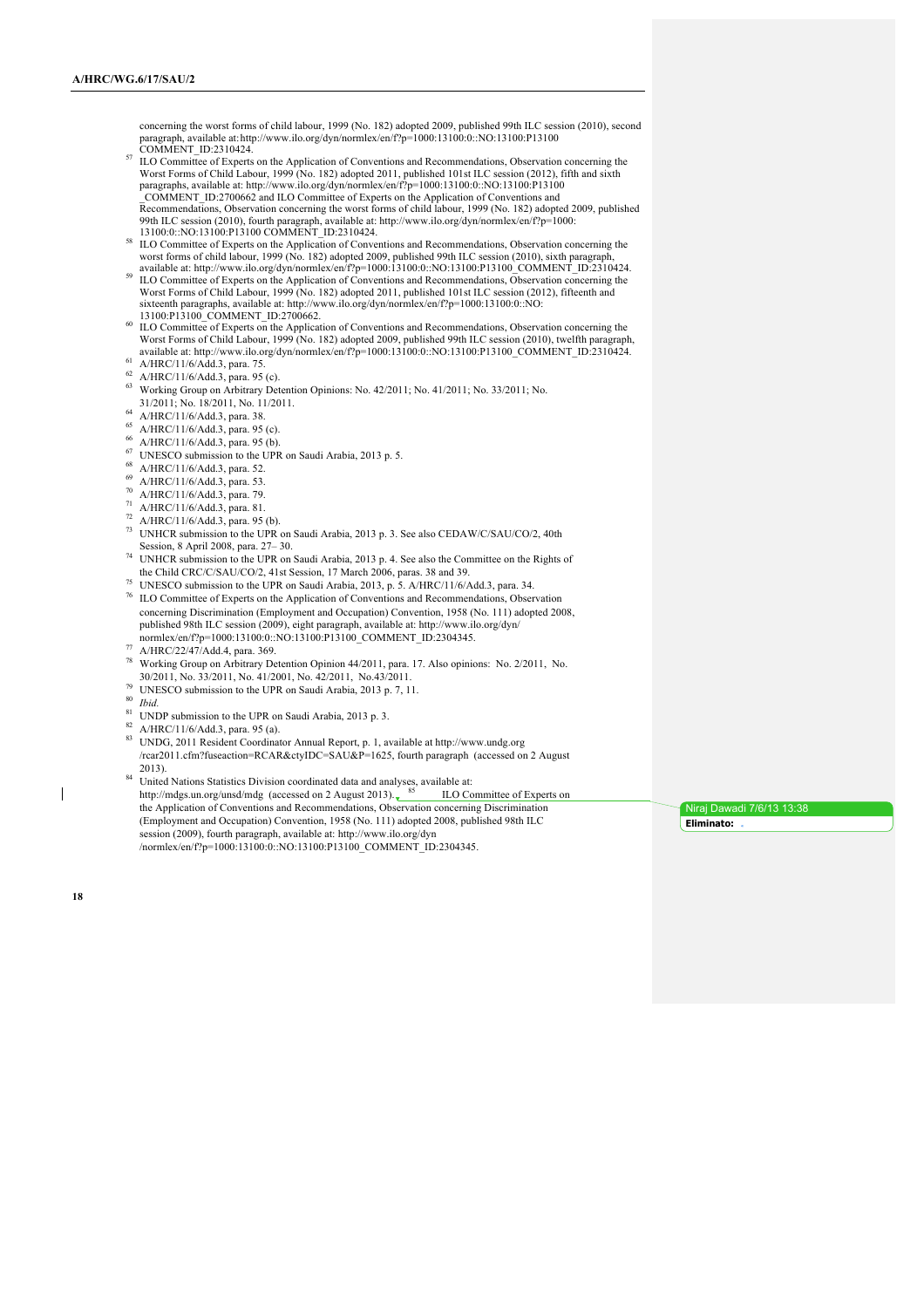concerning the worst forms of child labour, 1999 (No. 182) adopted 2009, published 99th ILC session (2010), second paragraph, available at:http://www.ilo.org/dyn/normlex/en/f?p=1000:13100:0::NO:13100:P13100

- COMMENT\_ID:2310424. <sup>57</sup> ILO Committee of Experts on the Application of Conventions and Recommendations, Observation concerning the Worst Forms of Child Labour, 1999 (No. 182) adopted 2011, published 101st ILC session (2012), fifth and sixth paragraphs, available at: http://www.ilo.org/dyn/normlex/en/f?p=1000:13100:0::NO:13100:P13100<br>COMMENT\_ID:2700662 and ILO Committee of Experts on the Application of Conventions and Recommendations, Observation concerning the worst forms of child labour, 1999 (No. 182) adopted 2009, published 99th ILC session (2010), fourth paragraph, available at: http://www.ilo.org/dyn/normlex/en/f?p=1000:<br>13100:0::NO:13100:P13100 COMMENT ID:2310424.
- <sup>58</sup> ILO Committee of Experts on the Application of Conventions and Recommendations, Observation concerning the worst forms of child labour, 1999 (No. 182) adopted 2009, published 99th ILC session (2010), sixth paragraph, available at: http://www.ilo.org/dyn/normlex/en/f?p=1000:13100:0::NO:13100:P13100\_COMMENT\_ID:2310424.
- <sup>59</sup> ILO Committee of Experts on the Application of Conventions and Recommendations, Observation concerning the Worst Forms of Child Labour, 1999 (No. 182) adopted 2011, published 101st ILC session (2012), fifteenth and sixteenth paragraphs, available at: http://www.ilo.org/dyn/normlex/en/f?p=1000:13100:0::NO:<br>13100:P13100\_COMMENT\_ID:2700662.
- <sup>60</sup> ILO Committee of Experts on the Application of Conventions and Recommendations, Observation concerning the Worst Forms of Child Labour, 1999 (No. 182) adopted 2009, published 99th ILC session (2010), twelfth paragraph, available at: http://www.ilo.org/dyn/normlex/en/f?p=1000:13100:0::NO:13100:P13100\_COMMENT\_ID:2310424.
- <sup>61</sup> A/HRC/11/6/Add.3, para. 75.
- $^{62}$  A/HRC/11/6/Add.3, para. 95 (c).
- <sup>63</sup> Working Group on Arbitrary Detention Opinions: No. 42/2011; No. 41/2011; No. 33/2011; No. 31/2011; No. 18/2011, No. 11/2011.
- <sup>64</sup> A/HRC/11/6/Add.3, para. 38.
- <sup>65</sup> A/HRC/11/6/Add.3, para. 95 (c).
- <sup>66</sup> A/HRC/11/6/Add.3, para. 95 (b).
- <sup>67</sup> UNESCO submission to the UPR on Saudi Arabia, 2013 p. 5.
- <sup>68</sup> A/HRC/11/6/Add.3, para. 52.
- <sup>69</sup> A/HRC/11/6/Add.3, para. 53.
- <sup>70</sup> A/HRC/11/6/Add.3, para. 79.
- <sup>71</sup> A/HRC/11/6/Add.3, para. 81.
- $72$  A/HRC/11/6/Add.3, para. 95 (b).
- <sup>73</sup> UNHCR submission to the UPR on Saudi Arabia, 2013 p. 3. See also CEDAW/C/SAU/CO/2, 40th Session, 8 April 2008, para. 27– 30.
- <sup>74</sup> UNHCR submission to the UPR on Saudi Arabia, 2013 p. 4. See also the Committee on the Rights of the Child CRC/C/SAU/CO/2, 41st Session, 17 March 2006, paras. 38 and 39.
- UNESCO submission to the UPR on Saudi Arabia, 2013, p. 5. A/HRC/11/6/Add.3, para. 34. <sup>76</sup> ILO Committee of Experts on the Application of Conventions and Recommendations, Observation concerning Discrimination (Employment and Occupation) Convention, 1958 (No. 111) adopted 2008, published 98th ILC session (2009), eight paragraph, available at: http://www.ilo.org/dyn/ normlex/en/f?p=1000:13100:0::NO:13100:P13100\_COMMENT\_ID:2304345.
- $^{77}$  A/HRC/22/47/Add.4, para. 369.
- <sup>78</sup> Working Group on Arbitrary Detention Opinion 44/2011, para. 17. Also opinions: No. 2/2011, No.
- <sup>79</sup> UNESCO submission to the UPR on Saudi Arabia, 2013 p. 7, 11. <sup>80</sup> *Ibid.*
- 
- <sup>81</sup> UNDP submission to the UPR on Saudi Arabia, 2013 p. 3.
- $^{82}$  A/HRC/11/6/Add.3, para. 95 (a).
- <sup>83</sup> UNDG, 2011 Resident Coordinator Annual Report, p. 1, available at http://www.undg.org /rcar2011.cfm?fuseaction=RCAR&ctyIDC=SAU&P=1625, fourth paragraph (accessed on 2 August 2013).
- 84 United Nations Statistics Division coordinated data and analyses, available at:<br>http://mdgs.un.org/unsd/mdg (accessed on 2 August 2013).  $85$  ILO Committee of Experts on http://mdgs.un.org/unsd/mdg (accessed on 2 August 2013).  $\frac{85}{100}$  ILO Committee of Experts on the Application of Conventions and Recommendations, Observation concerning Discrimination (Employment and Occupation) Convention, 1958 (No. 111) adopted 2008, published 98th ILC session (2009), fourth paragraph, available at: http://www.ilo.org/dyn /normlex/en/f?p=1000:13100:0::NO:13100:P13100\_COMMENT\_ID:2304345.

Niraj Dawadi 7/6/13 13:38 **Eliminato:**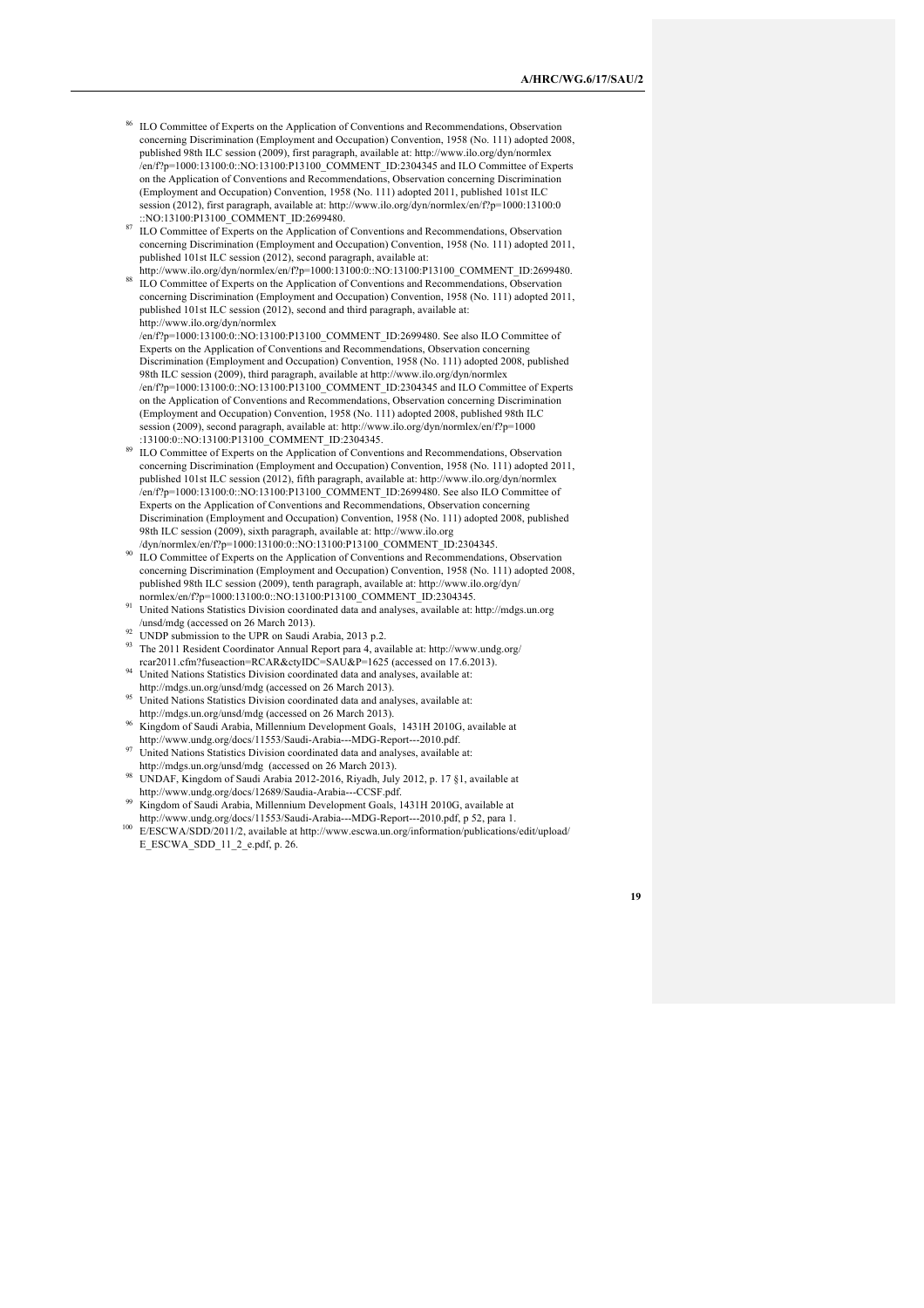- <sup>86</sup> ILO Committee of Experts on the Application of Conventions and Recommendations, Observation concerning Discrimination (Employment and Occupation) Convention, 1958 (No. 111) adopted 2008, published 98th ILC session (2009), first paragraph, available at: http://www.ilo.org/dyn/normlex /en/f?p=1000:13100:0::NO:13100:P13100\_COMMENT\_ID:2304345 and ILO Committee of Experts on the Application of Conventions and Recommendations, Observation concerning Discrimination (Employment and Occupation) Convention, 1958 (No. 111) adopted 2011, published 101st ILC session (2012), first paragraph, available at: http://www.ilo.org/dyn/normlex/en/f?p=1000:13100:0 ::NO:13100:P13100\_COMMENT\_ID:2699480.
- ILO Committee of Experts on the Application of Conventions and Recommendations, Observation concerning Discrimination (Employment and Occupation) Convention, 1958 (No. 111) adopted 2011, published 101st ILC session (2012), second paragraph, available at:
- http://www.ilo.org/dyn/normlex/en/f?p=1000:13100:0::NO:13100:P13100\_COMMENT\_ID:2699480. <sup>88</sup> ILO Committee of Experts on the Application of Conventions and Recommendations, Observation concerning Discrimination (Employment and Occupation) Convention, 1958 (No. 111) adopted 2011, published 101st ILC session (2012), second and third paragraph, available at: http://www.ilo.org/dyn/normlex

/en/f?p=1000:13100:0::NO:13100:P13100\_COMMENT\_ID:2699480. See also ILO Committee of Experts on the Application of Conventions and Recommendations, Observation concerning Discrimination (Employment and Occupation) Convention, 1958 (No. 111) adopted 2008, published 98th ILC session (2009), third paragraph, available at http://www.ilo.org/dyn/normlex /en/f?p=1000:13100:0::NO:13100:P13100\_COMMENT\_ID:2304345 and ILO Committee of Experts on the Application of Conventions and Recommendations, Observation concerning Discrimination (Employment and Occupation) Convention, 1958 (No. 111) adopted 2008, published 98th ILC session (2009), second paragraph, available at: http://www.ilo.org/dyn/normlex/en/f?p=1000 :13100:0::NO:13100:P13100\_COMMENT\_ID:2304345.

- ILO Committee of Experts on the Application of Conventions and Recommendations, Observation concerning Discrimination (Employment and Occupation) Convention, 1958 (No. 111) adopted 2011, published 101st ILC session (2012), fifth paragraph, available at: http://www.ilo.org/dyn/normlex /en/f?p=1000:13100:0::NO:13100:P13100\_COMMENT\_ID:2699480. See also ILO Committee of Experts on the Application of Conventions and Recommendations, Observation concerning Discrimination (Employment and Occupation) Convention, 1958 (No. 111) adopted 2008, published 98th ILC session (2009), sixth paragraph, available at: http://www.ilo.org /dyn/normlex/en/f?p=1000:13100:0::NO:13100:P13100\_COMMENT\_ID:2304345.
- ILO Committee of Experts on the Application of Conventions and Recommendations, Observation concerning Discrimination (Employment and Occupation) Convention, 1958 (No. 111) adopted 2008, published 98th ILC session (2009), tenth paragraph, available at: http://www.ilo.org/dyn/ normlex/en/f?p=1000:13100:0::NO:13100:P13100\_COMMENT\_ID:2304345.
- <sup>91</sup> United Nations Statistics Division coordinated data and analyses, available at: http://mdgs.un.org /unsd/mdg (accessed on 26 March 2013).
- $\frac{92}{2}$  UNDP submission to the UPR on Saudi Arabia, 2013 p.2.
- <sup>93</sup> The 2011 Resident Coordinator Annual Report para 4, available at: http://www.undg.org/ rcar2011.cfm?fuseaction=RCAR&ctyIDC=SAU&P=1625 (accessed on 17.6.2013).
- <sup>94</sup> United Nations Statistics Division coordinated data and analyses, available at: http://mdgs.un.org/unsd/mdg (accessed on 26 March 2013).
- <sup>95</sup> United Nations Statistics Division coordinated data and analyses, available at: http://mdgs.un.org/unsd/mdg (accessed on 26 March 2013).
- <sup>96</sup> Kingdom of Saudi Arabia, Millennium Development Goals, 1431H 2010G, available at
- http://www.undg.org/docs/11553/Saudi-Arabia---MDG-Report---2010.pdf. <sup>97</sup> United Nations Statistics Division coordinated data and analyses, available at:
- http://mdgs.un.org/unsd/mdg (accessed on 26 March 2013).
- <sup>98</sup> UNDAF, Kingdom of Saudi Arabia 2012-2016, Riyadh, July 2012, p. 17 §1, available at http://www.undg.org/docs/12689/Saudia-Arabia---CCSF.pdf.
- <sup>99</sup> Kingdom of Saudi Arabia, Millennium Development Goals, 1431H 2010G, available at
- http://www.undg.org/docs/11553/Saudi-Arabia---MDG-Report---2010.pdf, p 52, para 1. <sup>100</sup> E/ESCWA/SDD/2011/2, available at http://www.escwa.un.org/information/publications/edit/upload/ E\_ESCWA\_SDD\_11\_2\_e.pdf, p. 26.